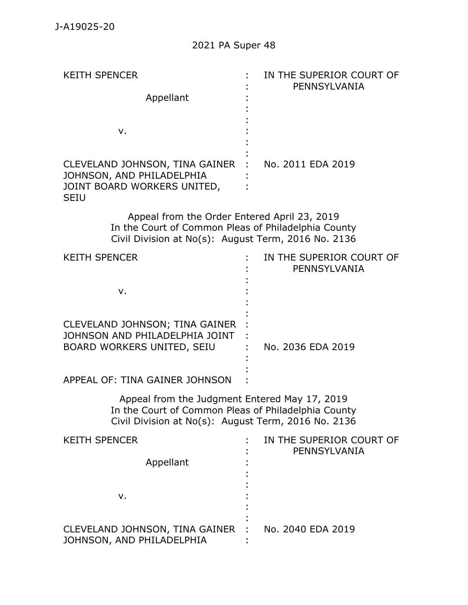| <b>KEITH SPENCER</b>                                                                                                                                       | IN THE SUPERIOR COURT OF<br>PENNSYLVANIA |
|------------------------------------------------------------------------------------------------------------------------------------------------------------|------------------------------------------|
| Appellant                                                                                                                                                  |                                          |
|                                                                                                                                                            |                                          |
| v.                                                                                                                                                         |                                          |
|                                                                                                                                                            |                                          |
| CLEVELAND JOHNSON, TINA GAINER<br>JOHNSON, AND PHILADELPHIA                                                                                                | No. 2011 EDA 2019                        |
| JOINT BOARD WORKERS UNITED,<br><b>SEIU</b>                                                                                                                 |                                          |
| Appeal from the Order Entered April 23, 2019<br>In the Court of Common Pleas of Philadelphia County<br>Civil Division at No(s): August Term, 2016 No. 2136 |                                          |
| <b>KEITH SPENCER</b>                                                                                                                                       | IN THE SUPERIOR COURT OF                 |
|                                                                                                                                                            | PENNSYLVANIA                             |
| v.                                                                                                                                                         |                                          |
|                                                                                                                                                            |                                          |
| CLEVELAND JOHNSON; TINA GAINER                                                                                                                             |                                          |
| JOHNSON AND PHILADELPHIA JOINT<br>BOARD WORKERS UNITED, SEIU                                                                                               | No. 2036 EDA 2019                        |

APPEAL OF: TINA GAINER JOHNSON : :

> Appeal from the Judgment Entered May 17, 2019 In the Court of Common Pleas of Philadelphia County Civil Division at No(s): August Term, 2016 No. 2136

:

| <b>KEITH SPENCER</b><br>Appellant                             | IN THE SUPERIOR COURT OF<br>PENNSYLVANIA |
|---------------------------------------------------------------|------------------------------------------|
| ν.                                                            |                                          |
| CLEVELAND JOHNSON, TINA GAINER :<br>JOHNSON, AND PHILADELPHIA | No. 2040 EDA 2019                        |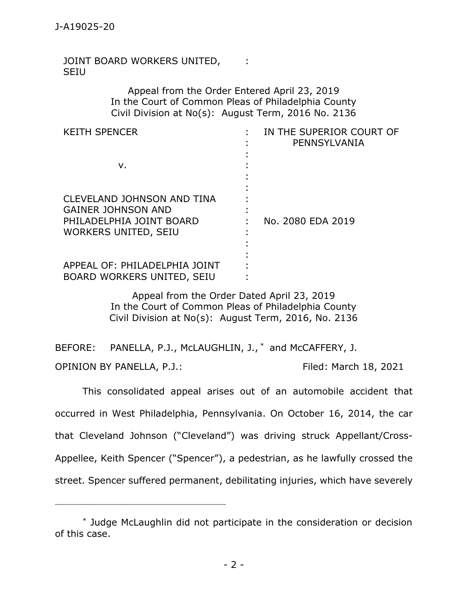JOINT BOARD WORKERS UNITED, SEIU : 11

> Appeal from the Order Entered April 23, 2019 In the Court of Common Pleas of Philadelphia County Civil Division at No(s): August Term, 2016 No. 2136

| <b>KEITH SPENCER</b>                                                                                                      | IN THE SUPERIOR COURT OF<br>PENNSYLVANIA |
|---------------------------------------------------------------------------------------------------------------------------|------------------------------------------|
| v.                                                                                                                        |                                          |
| <b>CLEVELAND JOHNSON AND TINA</b><br><b>GAINER JOHNSON AND</b><br>PHILADELPHIA JOINT BOARD<br><b>WORKERS UNITED, SEIU</b> | No. 2080 EDA 2019                        |
| APPEAL OF: PHILADELPHIA JOINT<br>BOARD WORKERS UNITED, SEIU                                                               |                                          |

Appeal from the Order Dated April 23, 2019 In the Court of Common Pleas of Philadelphia County Civil Division at No(s): August Term, 2016, No. 2136

BEFORE: PANELLA, P.J., McLAUGHLIN, J., \* and McCAFFERY, J. OPINION BY PANELLA, P.J.: Filed: March 18, 2021

This consolidated appeal arises out of an automobile accident that occurred in West Philadelphia, Pennsylvania. On October 16, 2014, the car that Cleveland Johnson ("Cleveland") was driving struck Appellant/Cross-Appellee, Keith Spencer ("Spencer"), a pedestrian, as he lawfully crossed the street. Spencer suffered permanent, debilitating injuries, which have severely

<sup>\*</sup> Judge McLaughlin did not participate in the consideration or decision of this case.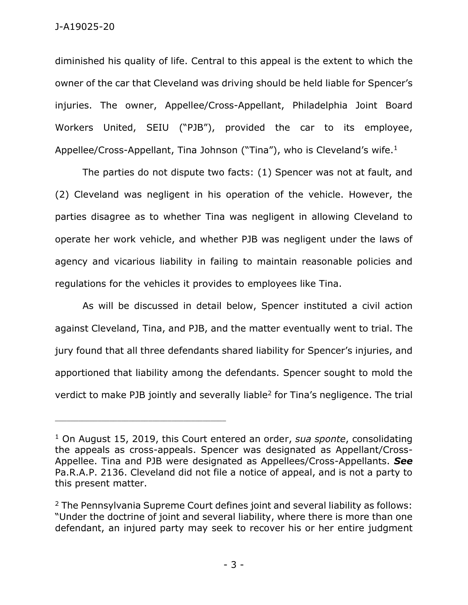diminished his quality of life. Central to this appeal is the extent to which the owner of the car that Cleveland was driving should be held liable for Spencer's injuries. The owner, Appellee/Cross-Appellant, Philadelphia Joint Board Workers United, SEIU ("PJB"), provided the car to its employee, Appellee/Cross-Appellant, Tina Johnson ("Tina"), who is Cleveland's wife.<sup>1</sup>

The parties do not dispute two facts: (1) Spencer was not at fault, and (2) Cleveland was negligent in his operation of the vehicle. However, the parties disagree as to whether Tina was negligent in allowing Cleveland to operate her work vehicle, and whether PJB was negligent under the laws of agency and vicarious liability in failing to maintain reasonable policies and regulations for the vehicles it provides to employees like Tina.

As will be discussed in detail below, Spencer instituted a civil action against Cleveland, Tina, and PJB, and the matter eventually went to trial. The jury found that all three defendants shared liability for Spencer's injuries, and apportioned that liability among the defendants. Spencer sought to mold the verdict to make PJB jointly and severally liable<sup>2</sup> for Tina's negligence. The trial

<sup>1</sup> On August 15, 2019, this Court entered an order, *sua sponte*, consolidating the appeals as cross-appeals. Spencer was designated as Appellant/Cross-Appellee. Tina and PJB were designated as Appellees/Cross-Appellants. *See* Pa.R.A.P. 2136. Cleveland did not file a notice of appeal, and is not a party to this present matter.

<sup>&</sup>lt;sup>2</sup> The Pennsylvania Supreme Court defines joint and several liability as follows: "Under the doctrine of joint and several liability, where there is more than one defendant, an injured party may seek to recover his or her entire judgment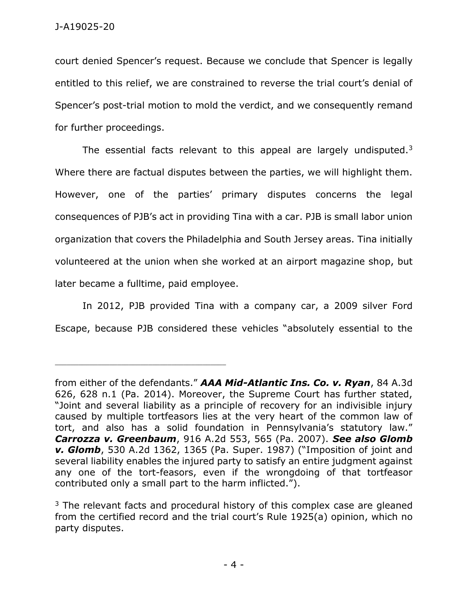court denied Spencer's request. Because we conclude that Spencer is legally entitled to this relief, we are constrained to reverse the trial court's denial of Spencer's post-trial motion to mold the verdict, and we consequently remand for further proceedings.

The essential facts relevant to this appeal are largely undisputed. $3$ Where there are factual disputes between the parties, we will highlight them. However, one of the parties' primary disputes concerns the legal consequences of PJB's act in providing Tina with a car. PJB is small labor union organization that covers the Philadelphia and South Jersey areas. Tina initially volunteered at the union when she worked at an airport magazine shop, but later became a fulltime, paid employee.

In 2012, PJB provided Tina with a company car, a 2009 silver Ford Escape, because PJB considered these vehicles "absolutely essential to the

from either of the defendants." *AAA Mid-Atlantic Ins. Co. v. Ryan*, 84 A.3d 626, 628 n.1 (Pa. 2014). Moreover, the Supreme Court has further stated, "Joint and several liability as a principle of recovery for an indivisible injury caused by multiple tortfeasors lies at the very heart of the common law of tort, and also has a solid foundation in Pennsylvania's statutory law." *Carrozza v. Greenbaum*, 916 A.2d 553, 565 (Pa. 2007). *See also Glomb v. Glomb*, 530 A.2d 1362, 1365 (Pa. Super. 1987) ("Imposition of joint and several liability enables the injured party to satisfy an entire judgment against any one of the tort-feasors, even if the wrongdoing of that tortfeasor contributed only a small part to the harm inflicted.").

 $3$  The relevant facts and procedural history of this complex case are gleaned from the certified record and the trial court's Rule 1925(a) opinion, which no party disputes.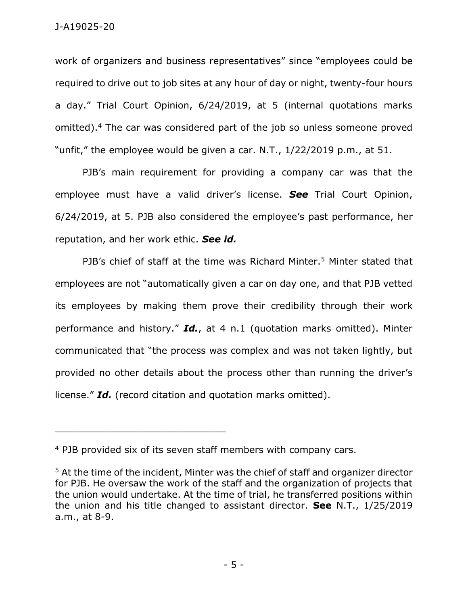work of organizers and business representatives" since "employees could be required to drive out to job sites at any hour of day or night, twenty-four hours a day." Trial Court Opinion, 6/24/2019, at 5 (internal quotations marks omitted). <sup>4</sup> The car was considered part of the job so unless someone proved "unfit," the employee would be given a car. N.T., 1/22/2019 p.m., at 51.

PJB's main requirement for providing a company car was that the employee must have a valid driver's license. *See* Trial Court Opinion, 6/24/2019, at 5. PJB also considered the employee's past performance, her reputation, and her work ethic. *See id.*

PJB's chief of staff at the time was Richard Minter.<sup>5</sup> Minter stated that employees are not "automatically given a car on day one, and that PJB vetted its employees by making them prove their credibility through their work performance and history." *Id.*, at 4 n.1 (quotation marks omitted). Minter communicated that "the process was complex and was not taken lightly, but provided no other details about the process other than running the driver's license." *Id.* (record citation and quotation marks omitted).

<sup>4</sup> PJB provided six of its seven staff members with company cars.

<sup>5</sup> At the time of the incident, Minter was the chief of staff and organizer director for PJB. He oversaw the work of the staff and the organization of projects that the union would undertake. At the time of trial, he transferred positions within the union and his title changed to assistant director. **See** N.T., 1/25/2019 a.m., at 8-9.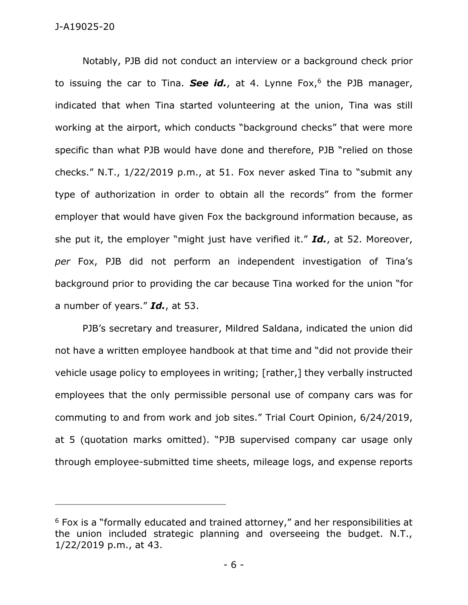Notably, PJB did not conduct an interview or a background check prior to issuing the car to Tina. **See id.**, at 4. Lynne Fox,<sup>6</sup> the PJB manager, indicated that when Tina started volunteering at the union, Tina was still working at the airport, which conducts "background checks" that were more specific than what PJB would have done and therefore, PJB "relied on those checks." N.T., 1/22/2019 p.m., at 51. Fox never asked Tina to "submit any type of authorization in order to obtain all the records" from the former employer that would have given Fox the background information because, as she put it, the employer "might just have verified it." *Id.*, at 52. Moreover, *per* Fox, PJB did not perform an independent investigation of Tina's background prior to providing the car because Tina worked for the union "for a number of years." *Id.*, at 53.

PJB's secretary and treasurer, Mildred Saldana, indicated the union did not have a written employee handbook at that time and "did not provide their vehicle usage policy to employees in writing; [rather,] they verbally instructed employees that the only permissible personal use of company cars was for commuting to and from work and job sites." Trial Court Opinion, 6/24/2019, at 5 (quotation marks omitted). "PJB supervised company car usage only through employee-submitted time sheets, mileage logs, and expense reports

<sup>6</sup> Fox is a "formally educated and trained attorney," and her responsibilities at the union included strategic planning and overseeing the budget. N.T., 1/22/2019 p.m., at 43.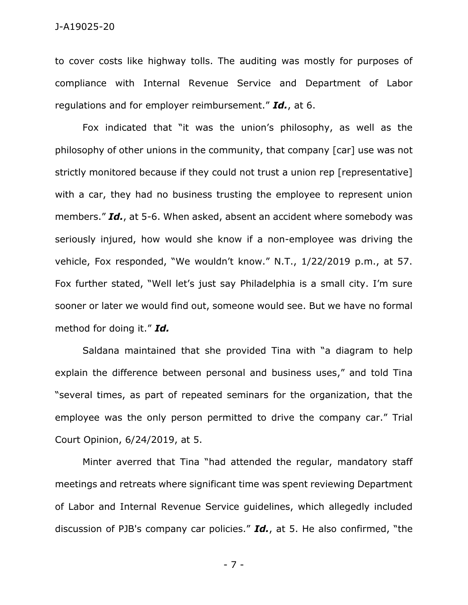to cover costs like highway tolls. The auditing was mostly for purposes of compliance with Internal Revenue Service and Department of Labor regulations and for employer reimbursement." *Id.*, at 6.

Fox indicated that "it was the union's philosophy, as well as the philosophy of other unions in the community, that company [car] use was not strictly monitored because if they could not trust a union rep [representative] with a car, they had no business trusting the employee to represent union members." *Id.*, at 5-6. When asked, absent an accident where somebody was seriously injured, how would she know if a non-employee was driving the vehicle, Fox responded, "We wouldn't know." N.T., 1/22/2019 p.m., at 57. Fox further stated, "Well let's just say Philadelphia is a small city. I'm sure sooner or later we would find out, someone would see. But we have no formal method for doing it." *Id.*

Saldana maintained that she provided Tina with "a diagram to help explain the difference between personal and business uses," and told Tina "several times, as part of repeated seminars for the organization, that the employee was the only person permitted to drive the company car." Trial Court Opinion, 6/24/2019, at 5.

Minter averred that Tina "had attended the regular, mandatory staff meetings and retreats where significant time was spent reviewing Department of Labor and Internal Revenue Service guidelines, which allegedly included discussion of PJB's company car policies." *Id.*, at 5. He also confirmed, "the

- 7 -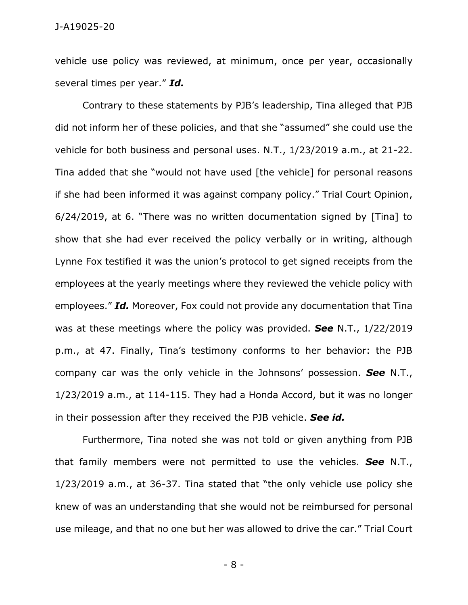vehicle use policy was reviewed, at minimum, once per year, occasionally several times per year." *Id.*

Contrary to these statements by PJB's leadership, Tina alleged that PJB did not inform her of these policies, and that she "assumed" she could use the vehicle for both business and personal uses. N.T., 1/23/2019 a.m., at 21-22. Tina added that she "would not have used [the vehicle] for personal reasons if she had been informed it was against company policy." Trial Court Opinion, 6/24/2019, at 6. "There was no written documentation signed by [Tina] to show that she had ever received the policy verbally or in writing, although Lynne Fox testified it was the union's protocol to get signed receipts from the employees at the yearly meetings where they reviewed the vehicle policy with employees." *Id.* Moreover, Fox could not provide any documentation that Tina was at these meetings where the policy was provided. *See* N.T., 1/22/2019 p.m., at 47. Finally, Tina's testimony conforms to her behavior: the PJB company car was the only vehicle in the Johnsons' possession. *See* N.T., 1/23/2019 a.m., at 114-115. They had a Honda Accord, but it was no longer in their possession after they received the PJB vehicle. *See id.*

Furthermore, Tina noted she was not told or given anything from PJB that family members were not permitted to use the vehicles. *See* N.T., 1/23/2019 a.m., at 36-37. Tina stated that "the only vehicle use policy she knew of was an understanding that she would not be reimbursed for personal use mileage, and that no one but her was allowed to drive the car." Trial Court

- 8 -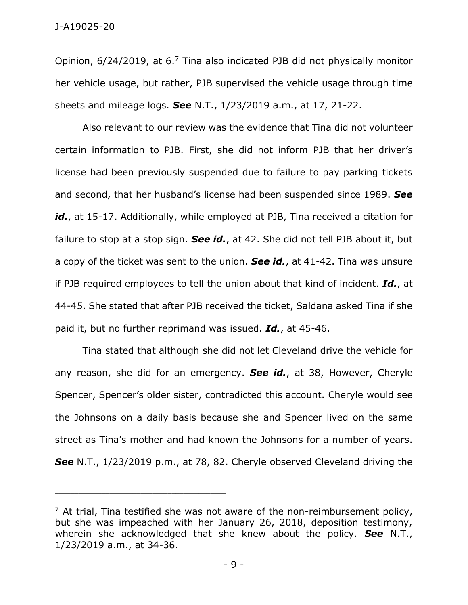Opinion, 6/24/2019, at 6.<sup>7</sup> Tina also indicated PJB did not physically monitor her vehicle usage, but rather, PJB supervised the vehicle usage through time sheets and mileage logs. *See* N.T., 1/23/2019 a.m., at 17, 21-22.

Also relevant to our review was the evidence that Tina did not volunteer certain information to PJB. First, she did not inform PJB that her driver's license had been previously suspended due to failure to pay parking tickets and second, that her husband's license had been suspended since 1989. *See* id., at 15-17. Additionally, while employed at PJB, Tina received a citation for failure to stop at a stop sign. *See id.*, at 42. She did not tell PJB about it, but a copy of the ticket was sent to the union. *See id.*, at 41-42. Tina was unsure if PJB required employees to tell the union about that kind of incident. *Id.*, at 44-45. She stated that after PJB received the ticket, Saldana asked Tina if she paid it, but no further reprimand was issued. *Id.*, at 45-46.

Tina stated that although she did not let Cleveland drive the vehicle for any reason, she did for an emergency. *See id.*, at 38, However, Cheryle Spencer, Spencer's older sister, contradicted this account. Cheryle would see the Johnsons on a daily basis because she and Spencer lived on the same street as Tina's mother and had known the Johnsons for a number of years. *See* N.T., 1/23/2019 p.m., at 78, 82. Cheryle observed Cleveland driving the

 $7$  At trial, Tina testified she was not aware of the non-reimbursement policy, but she was impeached with her January 26, 2018, deposition testimony, wherein she acknowledged that she knew about the policy. *See* N.T., 1/23/2019 a.m., at 34-36.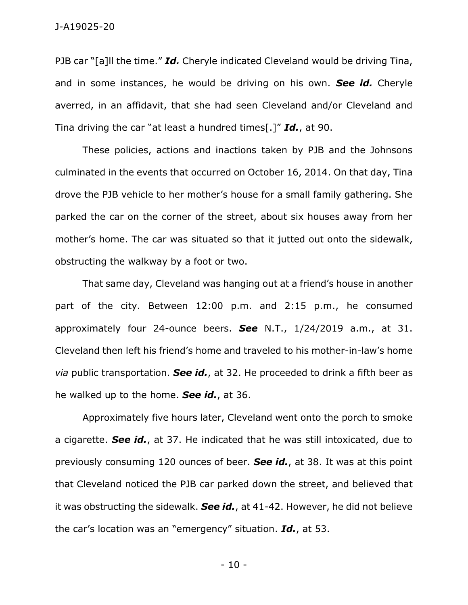PJB car "[a]ll the time." *Id.* Cheryle indicated Cleveland would be driving Tina, and in some instances, he would be driving on his own. *See id.* Cheryle averred, in an affidavit, that she had seen Cleveland and/or Cleveland and Tina driving the car "at least a hundred times[.]" *Id.*, at 90.

These policies, actions and inactions taken by PJB and the Johnsons culminated in the events that occurred on October 16, 2014. On that day, Tina drove the PJB vehicle to her mother's house for a small family gathering. She parked the car on the corner of the street, about six houses away from her mother's home. The car was situated so that it jutted out onto the sidewalk, obstructing the walkway by a foot or two.

That same day, Cleveland was hanging out at a friend's house in another part of the city. Between 12:00 p.m. and 2:15 p.m., he consumed approximately four 24-ounce beers. *See* N.T., 1/24/2019 a.m., at 31. Cleveland then left his friend's home and traveled to his mother-in-law's home *via* public transportation. *See id.*, at 32. He proceeded to drink a fifth beer as he walked up to the home. *See id.*, at 36.

Approximately five hours later, Cleveland went onto the porch to smoke a cigarette. *See id.*, at 37. He indicated that he was still intoxicated, due to previously consuming 120 ounces of beer. *See id.*, at 38. It was at this point that Cleveland noticed the PJB car parked down the street, and believed that it was obstructing the sidewalk. *See id.*, at 41-42. However, he did not believe the car's location was an "emergency" situation. *Id.*, at 53.

- 10 -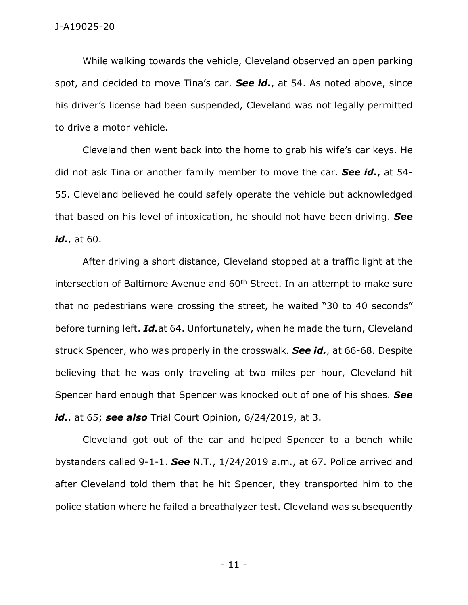While walking towards the vehicle, Cleveland observed an open parking spot, and decided to move Tina's car. *See id.*, at 54. As noted above, since his driver's license had been suspended, Cleveland was not legally permitted to drive a motor vehicle.

Cleveland then went back into the home to grab his wife's car keys. He did not ask Tina or another family member to move the car. *See id.*, at 54- 55. Cleveland believed he could safely operate the vehicle but acknowledged that based on his level of intoxication, he should not have been driving. *See id.*, at 60.

After driving a short distance, Cleveland stopped at a traffic light at the intersection of Baltimore Avenue and 60<sup>th</sup> Street. In an attempt to make sure that no pedestrians were crossing the street, he waited "30 to 40 seconds" before turning left. *Id.*at 64. Unfortunately, when he made the turn, Cleveland struck Spencer, who was properly in the crosswalk. *See id.*, at 66-68. Despite believing that he was only traveling at two miles per hour, Cleveland hit Spencer hard enough that Spencer was knocked out of one of his shoes. *See id.*, at 65; *see also* Trial Court Opinion, 6/24/2019, at 3.

Cleveland got out of the car and helped Spencer to a bench while bystanders called 9-1-1. *See* N.T., 1/24/2019 a.m., at 67. Police arrived and after Cleveland told them that he hit Spencer, they transported him to the police station where he failed a breathalyzer test. Cleveland was subsequently

- 11 -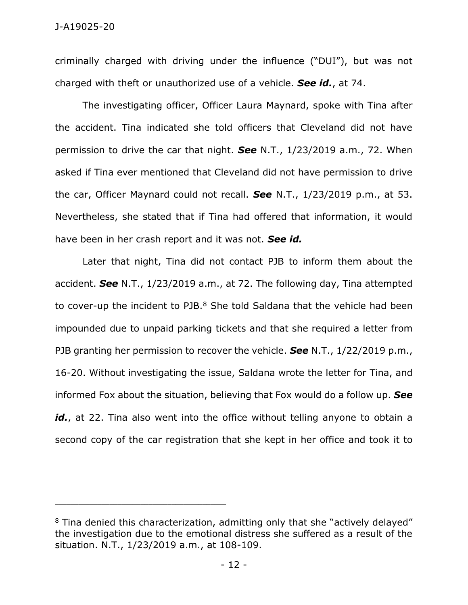criminally charged with driving under the influence ("DUI"), but was not charged with theft or unauthorized use of a vehicle. *See id.*, at 74.

The investigating officer, Officer Laura Maynard, spoke with Tina after the accident. Tina indicated she told officers that Cleveland did not have permission to drive the car that night. *See* N.T., 1/23/2019 a.m., 72. When asked if Tina ever mentioned that Cleveland did not have permission to drive the car, Officer Maynard could not recall. *See* N.T., 1/23/2019 p.m., at 53. Nevertheless, she stated that if Tina had offered that information, it would have been in her crash report and it was not. *See id.*

Later that night, Tina did not contact PJB to inform them about the accident. *See* N.T., 1/23/2019 a.m., at 72. The following day, Tina attempted to cover-up the incident to PJB.<sup>8</sup> She told Saldana that the vehicle had been impounded due to unpaid parking tickets and that she required a letter from PJB granting her permission to recover the vehicle. *See* N.T., 1/22/2019 p.m., 16-20. Without investigating the issue, Saldana wrote the letter for Tina, and informed Fox about the situation, believing that Fox would do a follow up. *See*  id., at 22. Tina also went into the office without telling anyone to obtain a second copy of the car registration that she kept in her office and took it to

 $8$  Tina denied this characterization, admitting only that she "actively delayed" the investigation due to the emotional distress she suffered as a result of the situation. N.T., 1/23/2019 a.m., at 108-109.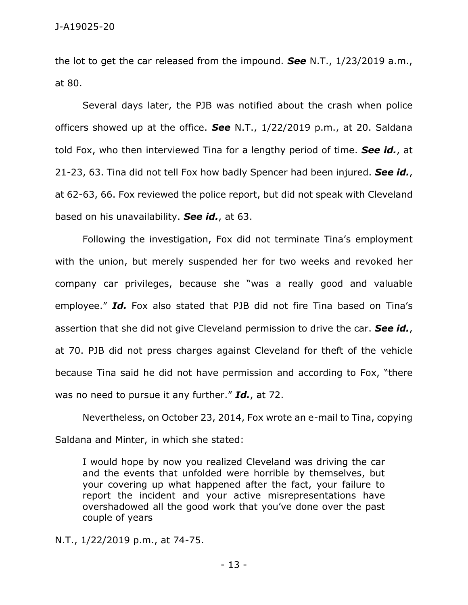the lot to get the car released from the impound. *See* N.T., 1/23/2019 a.m., at 80.

Several days later, the PJB was notified about the crash when police officers showed up at the office. *See* N.T., 1/22/2019 p.m., at 20. Saldana told Fox, who then interviewed Tina for a lengthy period of time. *See id.*, at 21-23, 63. Tina did not tell Fox how badly Spencer had been injured. *See id.*, at 62-63, 66. Fox reviewed the police report, but did not speak with Cleveland based on his unavailability. *See id.*, at 63.

Following the investigation, Fox did not terminate Tina's employment with the union, but merely suspended her for two weeks and revoked her company car privileges, because she "was a really good and valuable employee." *Id.* Fox also stated that PJB did not fire Tina based on Tina's assertion that she did not give Cleveland permission to drive the car. *See id.*, at 70. PJB did not press charges against Cleveland for theft of the vehicle because Tina said he did not have permission and according to Fox, "there was no need to pursue it any further." *Id.*, at 72.

Nevertheless, on October 23, 2014, Fox wrote an e-mail to Tina, copying Saldana and Minter, in which she stated:

I would hope by now you realized Cleveland was driving the car and the events that unfolded were horrible by themselves, but your covering up what happened after the fact, your failure to report the incident and your active misrepresentations have overshadowed all the good work that you've done over the past couple of years

N.T., 1/22/2019 p.m., at 74-75.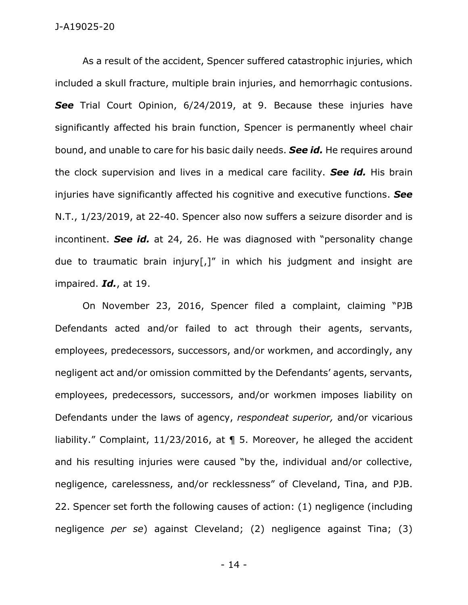## J-A19025-20

As a result of the accident, Spencer suffered catastrophic injuries, which included a skull fracture, multiple brain injuries, and hemorrhagic contusions. **See** Trial Court Opinion, 6/24/2019, at 9. Because these injuries have significantly affected his brain function, Spencer is permanently wheel chair bound, and unable to care for his basic daily needs. *See id.* He requires around the clock supervision and lives in a medical care facility. *See id.* His brain injuries have significantly affected his cognitive and executive functions. *See*  N.T., 1/23/2019, at 22-40. Spencer also now suffers a seizure disorder and is incontinent. *See id.* at 24, 26. He was diagnosed with "personality change due to traumatic brain injury[,]" in which his judgment and insight are impaired. *Id.*, at 19.

On November 23, 2016, Spencer filed a complaint, claiming "PJB Defendants acted and/or failed to act through their agents, servants, employees, predecessors, successors, and/or workmen, and accordingly, any negligent act and/or omission committed by the Defendants' agents, servants, employees, predecessors, successors, and/or workmen imposes liability on Defendants under the laws of agency, *respondeat superior,* and/or vicarious liability." Complaint, 11/23/2016, at ¶ 5. Moreover, he alleged the accident and his resulting injuries were caused "by the, individual and/or collective, negligence, carelessness, and/or recklessness" of Cleveland, Tina, and PJB. 22. Spencer set forth the following causes of action: (1) negligence (including negligence *per se*) against Cleveland; (2) negligence against Tina; (3)

- 14 -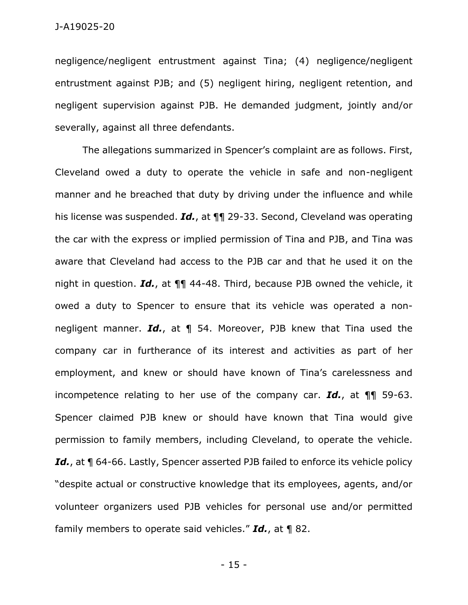negligence/negligent entrustment against Tina; (4) negligence/negligent entrustment against PJB; and (5) negligent hiring, negligent retention, and negligent supervision against PJB. He demanded judgment, jointly and/or severally, against all three defendants.

The allegations summarized in Spencer's complaint are as follows. First, Cleveland owed a duty to operate the vehicle in safe and non-negligent manner and he breached that duty by driving under the influence and while his license was suspended. *Id.*, at ¶¶ 29-33. Second, Cleveland was operating the car with the express or implied permission of Tina and PJB, and Tina was aware that Cleveland had access to the PJB car and that he used it on the night in question. *Id.*, at ¶¶ 44-48. Third, because PJB owned the vehicle, it owed a duty to Spencer to ensure that its vehicle was operated a nonnegligent manner. *Id.*, at ¶ 54. Moreover, PJB knew that Tina used the company car in furtherance of its interest and activities as part of her employment, and knew or should have known of Tina's carelessness and incompetence relating to her use of the company car. *Id.*, at ¶¶ 59-63. Spencer claimed PJB knew or should have known that Tina would give permission to family members, including Cleveland, to operate the vehicle. **Id.**, at **1** 64-66. Lastly, Spencer asserted PJB failed to enforce its vehicle policy "despite actual or constructive knowledge that its employees, agents, and/or volunteer organizers used PJB vehicles for personal use and/or permitted family members to operate said vehicles." *Id.*, at ¶ 82.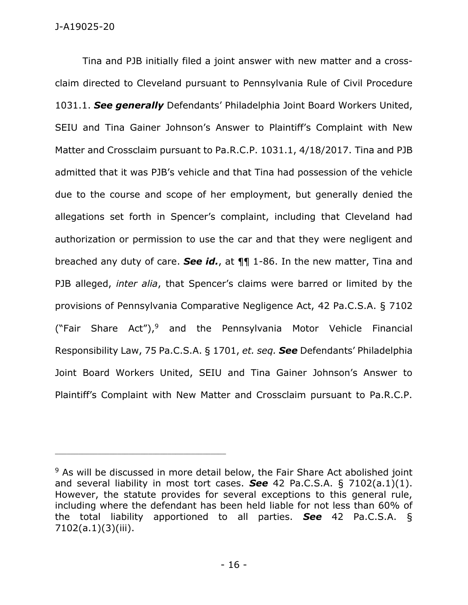Tina and PJB initially filed a joint answer with new matter and a crossclaim directed to Cleveland pursuant to Pennsylvania Rule of Civil Procedure 1031.1. *See generally* Defendants' Philadelphia Joint Board Workers United, SEIU and Tina Gainer Johnson's Answer to Plaintiff's Complaint with New Matter and Crossclaim pursuant to Pa.R.C.P. 1031.1, 4/18/2017. Tina and PJB admitted that it was PJB's vehicle and that Tina had possession of the vehicle due to the course and scope of her employment, but generally denied the allegations set forth in Spencer's complaint, including that Cleveland had authorization or permission to use the car and that they were negligent and breached any duty of care. *See id.*, at ¶¶ 1-86. In the new matter, Tina and PJB alleged, *inter alia*, that Spencer's claims were barred or limited by the provisions of Pennsylvania Comparative Negligence Act, 42 Pa.C.S.A. § 7102 ("Fair Share Act"), and the Pennsylvania Motor Vehicle Financial Responsibility Law, 75 Pa.C.S.A. § 1701, *et. seq. See* Defendants' Philadelphia Joint Board Workers United, SEIU and Tina Gainer Johnson's Answer to Plaintiff's Complaint with New Matter and Crossclaim pursuant to Pa.R.C.P.

<sup>&</sup>lt;sup>9</sup> As will be discussed in more detail below, the Fair Share Act abolished joint and several liability in most tort cases. *See* 42 Pa.C.S.A. § 7102(a.1)(1). However, the statute provides for several exceptions to this general rule, including where the defendant has been held liable for not less than 60% of the total liability apportioned to all parties. *See* 42 Pa.C.S.A. § 7102(a.1)(3)(iii).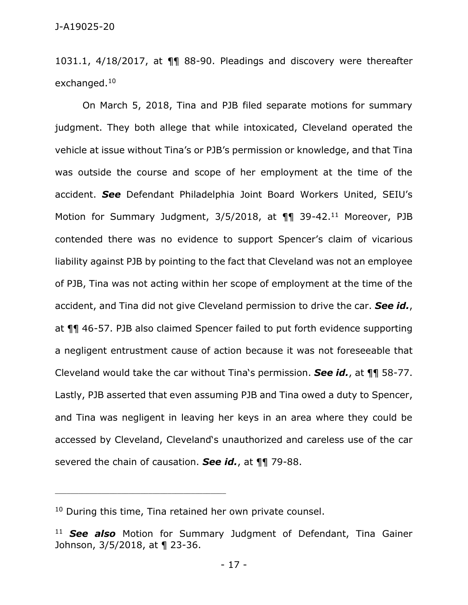1031.1, 4/18/2017, at ¶¶ 88-90. Pleadings and discovery were thereafter exchanged.<sup>10</sup>

On March 5, 2018, Tina and PJB filed separate motions for summary judgment. They both allege that while intoxicated, Cleveland operated the vehicle at issue without Tina's or PJB's permission or knowledge, and that Tina was outside the course and scope of her employment at the time of the accident. *See* Defendant Philadelphia Joint Board Workers United, SEIU's Motion for Summary Judgment, 3/5/2018, at 11 39-42.<sup>11</sup> Moreover, PJB contended there was no evidence to support Spencer's claim of vicarious liability against PJB by pointing to the fact that Cleveland was not an employee of PJB, Tina was not acting within her scope of employment at the time of the accident, and Tina did not give Cleveland permission to drive the car. *See id.*, at ¶¶ 46-57. PJB also claimed Spencer failed to put forth evidence supporting a negligent entrustment cause of action because it was not foreseeable that Cleveland would take the car without Tina's permission. *See id.*, at ¶¶ 58-77. Lastly, PJB asserted that even assuming PJB and Tina owed a duty to Spencer, and Tina was negligent in leaving her keys in an area where they could be accessed by Cleveland, Cleveland's unauthorized and careless use of the car severed the chain of causation. *See id.*, at ¶¶ 79-88.

<sup>&</sup>lt;sup>10</sup> During this time, Tina retained her own private counsel.

<sup>11</sup> *See also* Motion for Summary Judgment of Defendant, Tina Gainer Johnson, 3/5/2018, at ¶ 23-36.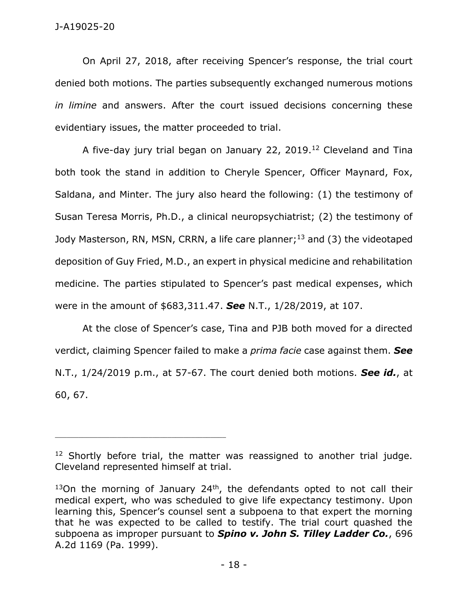On April 27, 2018, after receiving Spencer's response, the trial court denied both motions. The parties subsequently exchanged numerous motions *in limine* and answers. After the court issued decisions concerning these evidentiary issues, the matter proceeded to trial.

A five-day jury trial began on January 22, 2019.<sup>12</sup> Cleveland and Tina both took the stand in addition to Cheryle Spencer, Officer Maynard, Fox, Saldana, and Minter. The jury also heard the following: (1) the testimony of Susan Teresa Morris, Ph.D., a clinical neuropsychiatrist; (2) the testimony of Jody Masterson, RN, MSN, CRRN, a life care planner;<sup>13</sup> and (3) the videotaped deposition of Guy Fried, M.D., an expert in physical medicine and rehabilitation medicine. The parties stipulated to Spencer's past medical expenses, which were in the amount of \$683,311.47. *See* N.T., 1/28/2019, at 107.

At the close of Spencer's case, Tina and PJB both moved for a directed verdict, claiming Spencer failed to make a *prima facie* case against them. *See* N.T., 1/24/2019 p.m., at 57-67. The court denied both motions. *See id.*, at 60, 67.

<sup>&</sup>lt;sup>12</sup> Shortly before trial, the matter was reassigned to another trial judge. Cleveland represented himself at trial.

 $13$ On the morning of January 24<sup>th</sup>, the defendants opted to not call their medical expert, who was scheduled to give life expectancy testimony. Upon learning this, Spencer's counsel sent a subpoena to that expert the morning that he was expected to be called to testify. The trial court quashed the subpoena as improper pursuant to *Spino v. John S. Tilley Ladder Co.*, 696 A.2d 1169 (Pa. 1999).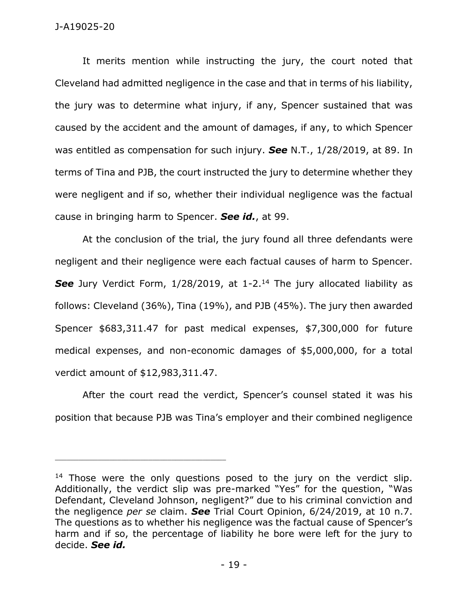## J-A19025-20

It merits mention while instructing the jury, the court noted that Cleveland had admitted negligence in the case and that in terms of his liability, the jury was to determine what injury, if any, Spencer sustained that was caused by the accident and the amount of damages, if any, to which Spencer was entitled as compensation for such injury. *See* N.T., 1/28/2019, at 89. In terms of Tina and PJB, the court instructed the jury to determine whether they were negligent and if so, whether their individual negligence was the factual cause in bringing harm to Spencer. *See id.*, at 99.

At the conclusion of the trial, the jury found all three defendants were negligent and their negligence were each factual causes of harm to Spencer. **See** Jury Verdict Form, 1/28/2019, at 1-2.<sup>14</sup> The jury allocated liability as follows: Cleveland (36%), Tina (19%), and PJB (45%). The jury then awarded Spencer \$683,311.47 for past medical expenses, \$7,300,000 for future medical expenses, and non-economic damages of \$5,000,000, for a total verdict amount of \$12,983,311.47.

After the court read the verdict, Spencer's counsel stated it was his position that because PJB was Tina's employer and their combined negligence

<sup>&</sup>lt;sup>14</sup> Those were the only questions posed to the jury on the verdict slip. Additionally, the verdict slip was pre-marked "Yes" for the question, "Was Defendant, Cleveland Johnson, negligent?" due to his criminal conviction and the negligence *per se* claim. *See* Trial Court Opinion, 6/24/2019, at 10 n.7. The questions as to whether his negligence was the factual cause of Spencer's harm and if so, the percentage of liability he bore were left for the jury to decide. *See id.*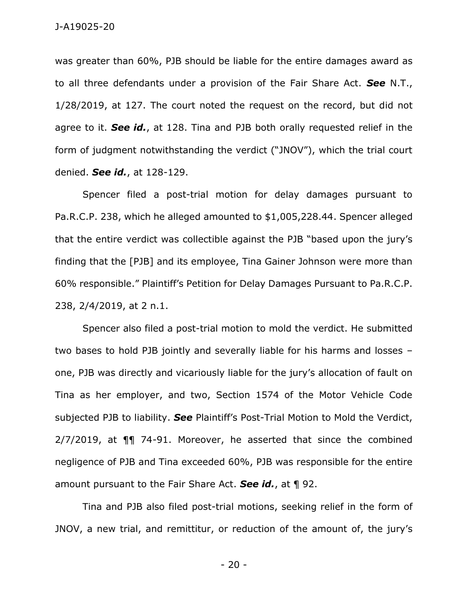was greater than 60%, PJB should be liable for the entire damages award as to all three defendants under a provision of the Fair Share Act. *See* N.T., 1/28/2019, at 127. The court noted the request on the record, but did not agree to it. *See id.*, at 128. Tina and PJB both orally requested relief in the form of judgment notwithstanding the verdict ("JNOV"), which the trial court denied. *See id.*, at 128-129.

Spencer filed a post-trial motion for delay damages pursuant to Pa.R.C.P. 238, which he alleged amounted to \$1,005,228.44. Spencer alleged that the entire verdict was collectible against the PJB "based upon the jury's finding that the [PJB] and its employee, Tina Gainer Johnson were more than 60% responsible." Plaintiff's Petition for Delay Damages Pursuant to Pa.R.C.P. 238, 2/4/2019, at 2 n.1.

Spencer also filed a post-trial motion to mold the verdict. He submitted two bases to hold PJB jointly and severally liable for his harms and losses – one, PJB was directly and vicariously liable for the jury's allocation of fault on Tina as her employer, and two, Section 1574 of the Motor Vehicle Code subjected PJB to liability. *See* Plaintiff's Post-Trial Motion to Mold the Verdict, 2/7/2019, at ¶¶ 74-91. Moreover, he asserted that since the combined negligence of PJB and Tina exceeded 60%, PJB was responsible for the entire amount pursuant to the Fair Share Act. *See id.*, at ¶ 92.

Tina and PJB also filed post-trial motions, seeking relief in the form of JNOV, a new trial, and remittitur, or reduction of the amount of, the jury's

- 20 -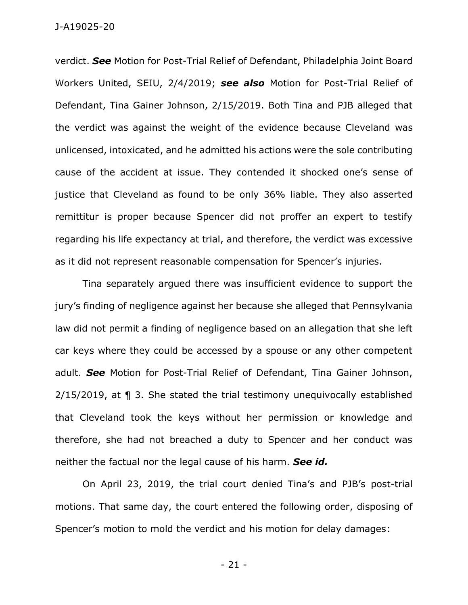verdict. *See* Motion for Post-Trial Relief of Defendant, Philadelphia Joint Board Workers United, SEIU, 2/4/2019; *see also* Motion for Post-Trial Relief of Defendant, Tina Gainer Johnson, 2/15/2019. Both Tina and PJB alleged that the verdict was against the weight of the evidence because Cleveland was unlicensed, intoxicated, and he admitted his actions were the sole contributing cause of the accident at issue. They contended it shocked one's sense of justice that Cleveland as found to be only 36% liable. They also asserted remittitur is proper because Spencer did not proffer an expert to testify regarding his life expectancy at trial, and therefore, the verdict was excessive as it did not represent reasonable compensation for Spencer's injuries.

Tina separately argued there was insufficient evidence to support the jury's finding of negligence against her because she alleged that Pennsylvania law did not permit a finding of negligence based on an allegation that she left car keys where they could be accessed by a spouse or any other competent adult. *See* Motion for Post-Trial Relief of Defendant, Tina Gainer Johnson, 2/15/2019, at ¶ 3. She stated the trial testimony unequivocally established that Cleveland took the keys without her permission or knowledge and therefore, she had not breached a duty to Spencer and her conduct was neither the factual nor the legal cause of his harm. *See id.*

On April 23, 2019, the trial court denied Tina's and PJB's post-trial motions. That same day, the court entered the following order, disposing of Spencer's motion to mold the verdict and his motion for delay damages:

- 21 -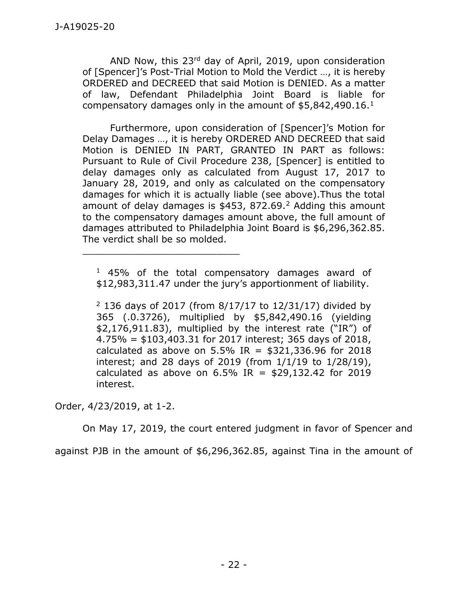AND Now, this 23rd day of April, 2019, upon consideration of [Spencer]'s Post-Trial Motion to Mold the Verdict …, it is hereby ORDERED and DECREED that said Motion is DENIED. As a matter of law, Defendant Philadelphia Joint Board is liable for compensatory damages only in the amount of  $$5,842,490.16<sup>1</sup>$ 

Furthermore, upon consideration of [Spencer]'s Motion for Delay Damages …, it is hereby ORDERED AND DECREED that said Motion is DENIED IN PART, GRANTED IN PART as follows: Pursuant to Rule of Civil Procedure 238, [Spencer] is entitled to delay damages only as calculated from August 17, 2017 to January 28, 2019, and only as calculated on the compensatory damages for which it is actually liable (see above).Thus the total amount of delay damages is  $$453, 872.69<sup>2</sup>$  Adding this amount to the compensatory damages amount above, the full amount of damages attributed to Philadelphia Joint Board is \$6,296,362.85. The verdict shall be so molded.

 $1$  45% of the total compensatory damages award of \$12,983,311.47 under the jury's apportionment of liability.

 $^{2}$  136 days of 2017 (from 8/17/17 to 12/31/17) divided by 365 (.0.3726), multiplied by \$5,842,490.16 (yielding \$2,176,911.83), multiplied by the interest rate ("IR") of 4.75% = \$103,403.31 for 2017 interest; 365 days of 2018, calculated as above on 5.5% IR =  $$321,336.96$  for 2018 interest; and 28 days of 2019 (from 1/1/19 to 1/28/19), calculated as above on  $6.5\%$  IR = \$29,132.42 for 2019 interest.

Order, 4/23/2019, at 1-2.

\_\_\_\_\_\_\_\_\_\_\_\_\_\_\_\_\_\_\_\_\_\_\_\_\_\_\_

On May 17, 2019, the court entered judgment in favor of Spencer and

against PJB in the amount of \$6,296,362.85, against Tina in the amount of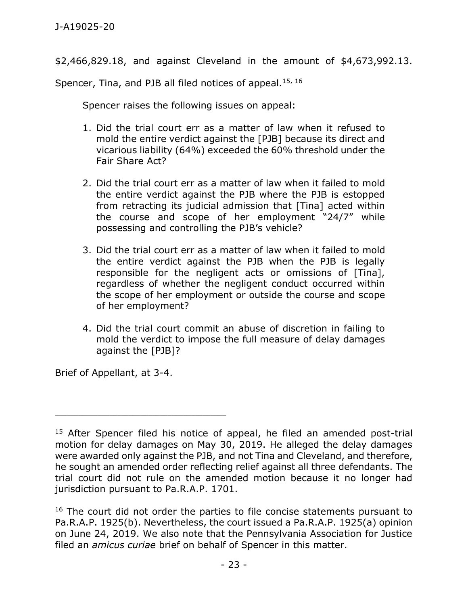\$2,466,829.18, and against Cleveland in the amount of \$4,673,992.13.

Spencer, Tina, and PJB all filed notices of appeal.<sup>15, 16</sup>

Spencer raises the following issues on appeal:

- 1. Did the trial court err as a matter of law when it refused to mold the entire verdict against the [PJB] because its direct and vicarious liability (64%) exceeded the 60% threshold under the Fair Share Act?
- 2. Did the trial court err as a matter of law when it failed to mold the entire verdict against the PJB where the PJB is estopped from retracting its judicial admission that [Tina] acted within the course and scope of her employment "24/7" while possessing and controlling the PJB's vehicle?
- 3. Did the trial court err as a matter of law when it failed to mold the entire verdict against the PJB when the PJB is legally responsible for the negligent acts or omissions of [Tina], regardless of whether the negligent conduct occurred within the scope of her employment or outside the course and scope of her employment?
- 4. Did the trial court commit an abuse of discretion in failing to mold the verdict to impose the full measure of delay damages against the [PJB]?

Brief of Appellant, at 3-4.

<sup>&</sup>lt;sup>15</sup> After Spencer filed his notice of appeal, he filed an amended post-trial motion for delay damages on May 30, 2019. He alleged the delay damages were awarded only against the PJB, and not Tina and Cleveland, and therefore, he sought an amended order reflecting relief against all three defendants. The trial court did not rule on the amended motion because it no longer had jurisdiction pursuant to Pa.R.A.P. 1701.

<sup>&</sup>lt;sup>16</sup> The court did not order the parties to file concise statements pursuant to Pa.R.A.P. 1925(b). Nevertheless, the court issued a Pa.R.A.P. 1925(a) opinion on June 24, 2019. We also note that the Pennsylvania Association for Justice filed an *amicus curiae* brief on behalf of Spencer in this matter.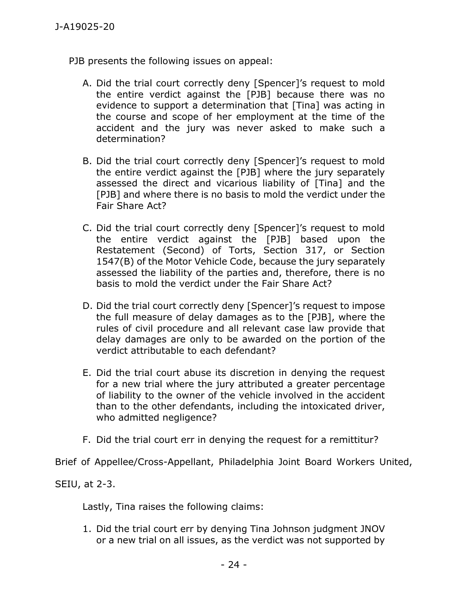PJB presents the following issues on appeal:

- A. Did the trial court correctly deny [Spencer]'s request to mold the entire verdict against the [PJB] because there was no evidence to support a determination that [Tina] was acting in the course and scope of her employment at the time of the accident and the jury was never asked to make such a determination?
- B. Did the trial court correctly deny [Spencer]'s request to mold the entire verdict against the [PJB] where the jury separately assessed the direct and vicarious liability of [Tina] and the [PJB] and where there is no basis to mold the verdict under the Fair Share Act?
- C. Did the trial court correctly deny [Spencer]'s request to mold the entire verdict against the [PJB] based upon the Restatement (Second) of Torts, Section 317, or Section 1547(B) of the Motor Vehicle Code, because the jury separately assessed the liability of the parties and, therefore, there is no basis to mold the verdict under the Fair Share Act?
- D. Did the trial court correctly deny [Spencer]'s request to impose the full measure of delay damages as to the [PJB], where the rules of civil procedure and all relevant case law provide that delay damages are only to be awarded on the portion of the verdict attributable to each defendant?
- E. Did the trial court abuse its discretion in denying the request for a new trial where the jury attributed a greater percentage of liability to the owner of the vehicle involved in the accident than to the other defendants, including the intoxicated driver, who admitted negligence?
- F. Did the trial court err in denying the request for a remittitur?

Brief of Appellee/Cross-Appellant, Philadelphia Joint Board Workers United,

SEIU, at 2-3.

Lastly, Tina raises the following claims:

1. Did the trial court err by denying Tina Johnson judgment JNOV or a new trial on all issues, as the verdict was not supported by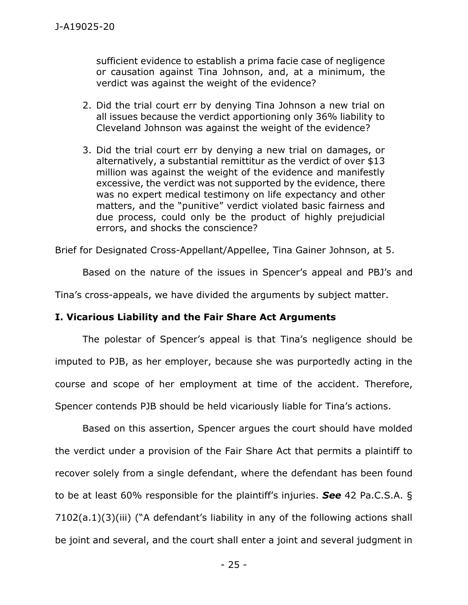sufficient evidence to establish a prima facie case of negligence or causation against Tina Johnson, and, at a minimum, the verdict was against the weight of the evidence?

- 2. Did the trial court err by denying Tina Johnson a new trial on all issues because the verdict apportioning only 36% liability to Cleveland Johnson was against the weight of the evidence?
- 3. Did the trial court err by denying a new trial on damages, or alternatively, a substantial remittitur as the verdict of over \$13 million was against the weight of the evidence and manifestly excessive, the verdict was not supported by the evidence, there was no expert medical testimony on life expectancy and other matters, and the "punitive" verdict violated basic fairness and due process, could only be the product of highly prejudicial errors, and shocks the conscience?

Brief for Designated Cross-Appellant/Appellee, Tina Gainer Johnson, at 5.

Based on the nature of the issues in Spencer's appeal and PBJ's and

Tina's cross-appeals, we have divided the arguments by subject matter.

## **I. Vicarious Liability and the Fair Share Act Arguments**

The polestar of Spencer's appeal is that Tina's negligence should be imputed to PJB, as her employer, because she was purportedly acting in the course and scope of her employment at time of the accident. Therefore, Spencer contends PJB should be held vicariously liable for Tina's actions.

Based on this assertion, Spencer argues the court should have molded the verdict under a provision of the Fair Share Act that permits a plaintiff to recover solely from a single defendant, where the defendant has been found to be at least 60% responsible for the plaintiff's injuries. *See* 42 Pa.C.S.A. § 7102(a.1)(3)(iii) ("A defendant's liability in any of the following actions shall be joint and several, and the court shall enter a joint and several judgment in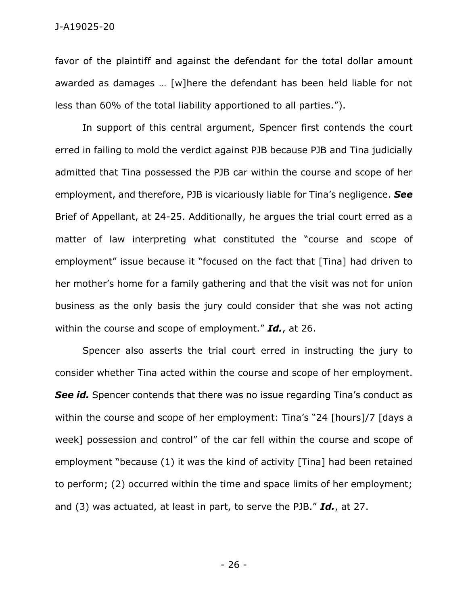favor of the plaintiff and against the defendant for the total dollar amount awarded as damages … [w]here the defendant has been held liable for not less than 60% of the total liability apportioned to all parties.").

In support of this central argument, Spencer first contends the court erred in failing to mold the verdict against PJB because PJB and Tina judicially admitted that Tina possessed the PJB car within the course and scope of her employment, and therefore, PJB is vicariously liable for Tina's negligence. *See* Brief of Appellant, at 24-25. Additionally, he argues the trial court erred as a matter of law interpreting what constituted the "course and scope of employment" issue because it "focused on the fact that [Tina] had driven to her mother's home for a family gathering and that the visit was not for union business as the only basis the jury could consider that she was not acting within the course and scope of employment." *Id.*, at 26.

Spencer also asserts the trial court erred in instructing the jury to consider whether Tina acted within the course and scope of her employment. **See id.** Spencer contends that there was no issue regarding Tina's conduct as within the course and scope of her employment: Tina's "24 [hours]/7 [days a week] possession and control" of the car fell within the course and scope of employment "because (1) it was the kind of activity [Tina] had been retained to perform; (2) occurred within the time and space limits of her employment; and (3) was actuated, at least in part, to serve the PJB." *Id.*, at 27.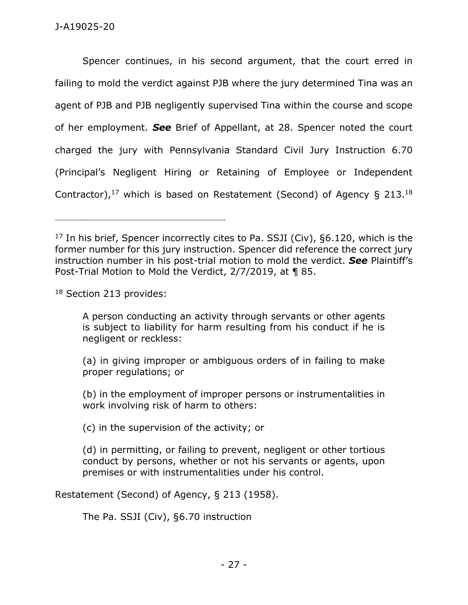Spencer continues, in his second argument, that the court erred in failing to mold the verdict against PJB where the jury determined Tina was an agent of PJB and PJB negligently supervised Tina within the course and scope of her employment. *See* Brief of Appellant, at 28. Spencer noted the court charged the jury with Pennsylvania Standard Civil Jury Instruction 6.70 (Principal's Negligent Hiring or Retaining of Employee or Independent Contractor),  $17$  which is based on Restatement (Second) of Agency § 213.18

<sup>18</sup> Section 213 provides:

A person conducting an activity through servants or other agents is subject to liability for harm resulting from his conduct if he is negligent or reckless:

(a) in giving improper or ambiguous orders of in failing to make proper regulations; or

(b) in the employment of improper persons or instrumentalities in work involving risk of harm to others:

(c) in the supervision of the activity; or

(d) in permitting, or failing to prevent, negligent or other tortious conduct by persons, whether or not his servants or agents, upon premises or with instrumentalities under his control.

Restatement (Second) of Agency, § 213 (1958).

The Pa. SSJI (Civ), §6.70 instruction

 $17$  In his brief, Spencer incorrectly cites to Pa. SSJI (Civ), §6.120, which is the former number for this jury instruction. Spencer did reference the correct jury instruction number in his post-trial motion to mold the verdict. *See* Plaintiff's Post-Trial Motion to Mold the Verdict, 2/7/2019, at ¶ 85.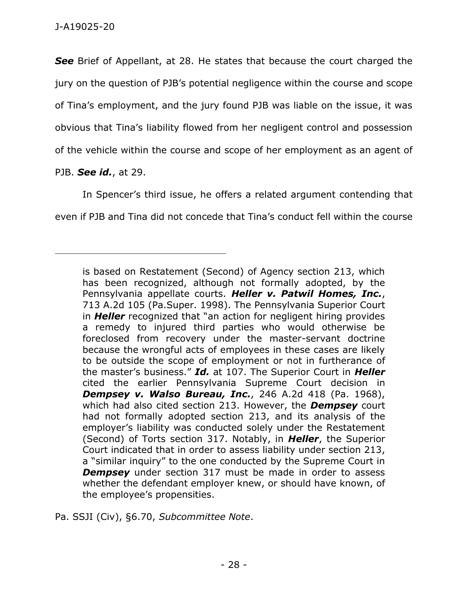*See* Brief of Appellant, at 28. He states that because the court charged the jury on the question of PJB's potential negligence within the course and scope of Tina's employment, and the jury found PJB was liable on the issue, it was obvious that Tina's liability flowed from her negligent control and possession of the vehicle within the course and scope of her employment as an agent of

PJB. *See id.*, at 29.

\_\_\_\_\_\_\_\_\_\_\_\_\_\_\_\_\_\_\_\_\_\_\_\_\_\_\_\_\_\_\_\_\_\_\_\_\_\_\_\_\_\_\_\_

In Spencer's third issue, he offers a related argument contending that even if PJB and Tina did not concede that Tina's conduct fell within the course

is based on Restatement (Second) of Agency section 213, which has been recognized, although not formally adopted, by the Pennsylvania appellate courts. *Heller v. Patwil Homes, Inc.*, 713 A.2d 105 (Pa.Super. 1998). The Pennsylvania Superior Court in *Heller* recognized that "an action for negligent hiring provides a remedy to injured third parties who would otherwise be foreclosed from recovery under the master-servant doctrine because the wrongful acts of employees in these cases are likely to be outside the scope of employment or not in furtherance of the master's business." *Id.* at 107. The Superior Court in *Heller* cited the earlier Pennsylvania Supreme Court decision in *Dempsey v. Walso Bureau, Inc.*, 246 A.2d 418 (Pa. 1968), which had also cited section 213. However, the *Dempsey* court had not formally adopted section 213, and its analysis of the employer's liability was conducted solely under the Restatement (Second) of Torts section 317. Notably, in *Heller*, the Superior Court indicated that in order to assess liability under section 213, a "similar inquiry" to the one conducted by the Supreme Court in **Dempsey** under section 317 must be made in order to assess whether the defendant employer knew, or should have known, of the employee's propensities.

Pa. SSJI (Civ), §6.70, *Subcommittee Note*.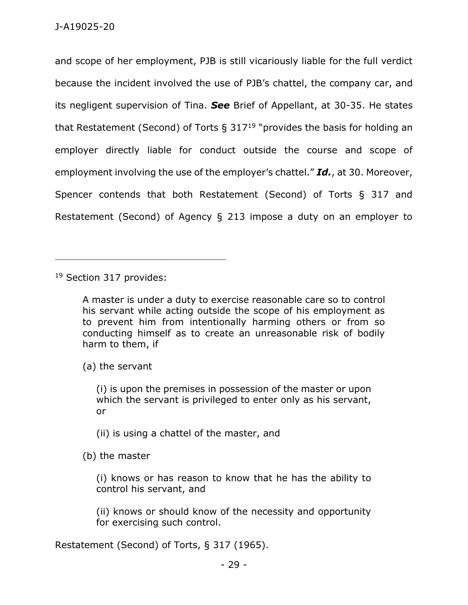and scope of her employment, PJB is still vicariously liable for the full verdict because the incident involved the use of PJB's chattel, the company car, and its negligent supervision of Tina. *See* Brief of Appellant, at 30-35. He states that Restatement (Second) of Torts  $\S 317^{19}$  "provides the basis for holding an employer directly liable for conduct outside the course and scope of employment involving the use of the employer's chattel." *Id.*, at 30. Moreover, Spencer contends that both Restatement (Second) of Torts § 317 and Restatement (Second) of Agency § 213 impose a duty on an employer to

<sup>19</sup> Section 317 provides:

\_\_\_\_\_\_\_\_\_\_\_\_\_\_\_\_\_\_\_\_\_\_\_\_\_\_\_\_\_\_\_\_\_\_\_\_\_\_\_\_\_\_\_\_

A master is under a duty to exercise reasonable care so to control his servant while acting outside the scope of his employment as to prevent him from intentionally harming others or from so conducting himself as to create an unreasonable risk of bodily harm to them, if

(a) the servant

(i) is upon the premises in possession of the master or upon which the servant is privileged to enter only as his servant, or

(ii) is using a chattel of the master, and

(b) the master

(i) knows or has reason to know that he has the ability to control his servant, and

(ii) knows or should know of the necessity and opportunity for exercising such control.

Restatement (Second) of Torts, § 317 (1965).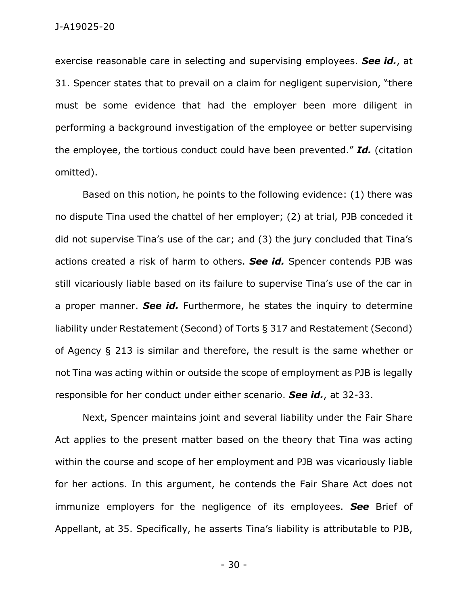exercise reasonable care in selecting and supervising employees. *See id.*, at 31. Spencer states that to prevail on a claim for negligent supervision, "there must be some evidence that had the employer been more diligent in performing a background investigation of the employee or better supervising the employee, the tortious conduct could have been prevented." *Id.* (citation omitted).

Based on this notion, he points to the following evidence: (1) there was no dispute Tina used the chattel of her employer; (2) at trial, PJB conceded it did not supervise Tina's use of the car; and (3) the jury concluded that Tina's actions created a risk of harm to others. *See id.* Spencer contends PJB was still vicariously liable based on its failure to supervise Tina's use of the car in a proper manner. *See id.* Furthermore, he states the inquiry to determine liability under Restatement (Second) of Torts § 317 and Restatement (Second) of Agency § 213 is similar and therefore, the result is the same whether or not Tina was acting within or outside the scope of employment as PJB is legally responsible for her conduct under either scenario. *See id.*, at 32-33.

Next, Spencer maintains joint and several liability under the Fair Share Act applies to the present matter based on the theory that Tina was acting within the course and scope of her employment and PJB was vicariously liable for her actions. In this argument, he contends the Fair Share Act does not immunize employers for the negligence of its employees. *See* Brief of Appellant, at 35. Specifically, he asserts Tina's liability is attributable to PJB,

- 30 -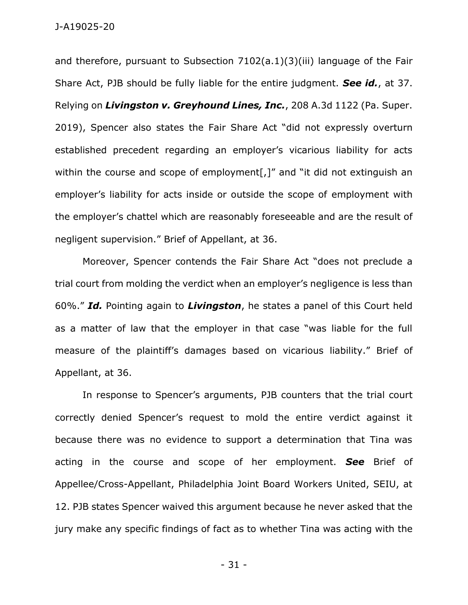and therefore, pursuant to Subsection 7102(a.1)(3)(iii) language of the Fair Share Act, PJB should be fully liable for the entire judgment. *See id.*, at 37. Relying on *Livingston v. Greyhound Lines, Inc.*, 208 A.3d 1122 (Pa. Super. 2019), Spencer also states the Fair Share Act "did not expressly overturn established precedent regarding an employer's vicarious liability for acts within the course and scope of employment[,]" and "it did not extinguish an employer's liability for acts inside or outside the scope of employment with the employer's chattel which are reasonably foreseeable and are the result of negligent supervision." Brief of Appellant, at 36.

Moreover, Spencer contends the Fair Share Act "does not preclude a trial court from molding the verdict when an employer's negligence is less than 60%." *Id.* Pointing again to *Livingston*, he states a panel of this Court held as a matter of law that the employer in that case "was liable for the full measure of the plaintiff's damages based on vicarious liability." Brief of Appellant, at 36.

In response to Spencer's arguments, PJB counters that the trial court correctly denied Spencer's request to mold the entire verdict against it because there was no evidence to support a determination that Tina was acting in the course and scope of her employment. *See* Brief of Appellee/Cross-Appellant, Philadelphia Joint Board Workers United, SEIU, at 12. PJB states Spencer waived this argument because he never asked that the jury make any specific findings of fact as to whether Tina was acting with the

- 31 -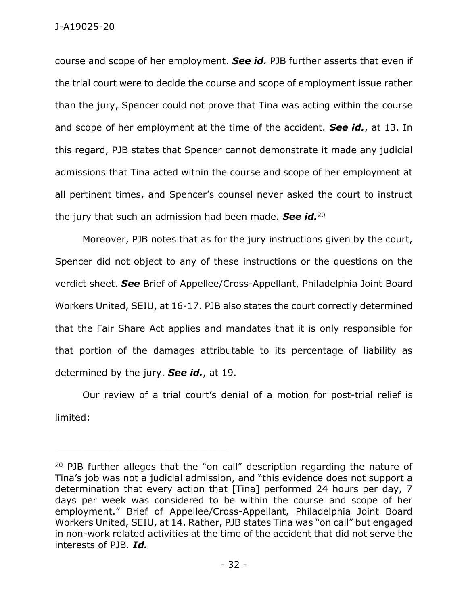course and scope of her employment. *See id.* PJB further asserts that even if the trial court were to decide the course and scope of employment issue rather than the jury, Spencer could not prove that Tina was acting within the course and scope of her employment at the time of the accident. *See id.*, at 13. In this regard, PJB states that Spencer cannot demonstrate it made any judicial admissions that Tina acted within the course and scope of her employment at all pertinent times, and Spencer's counsel never asked the court to instruct the jury that such an admission had been made. *See id.*<sup>20</sup>

Moreover, PJB notes that as for the jury instructions given by the court, Spencer did not object to any of these instructions or the questions on the verdict sheet. *See* Brief of Appellee/Cross-Appellant, Philadelphia Joint Board Workers United, SEIU, at 16-17. PJB also states the court correctly determined that the Fair Share Act applies and mandates that it is only responsible for that portion of the damages attributable to its percentage of liability as determined by the jury. *See id.*, at 19.

Our review of a trial court's denial of a motion for post-trial relief is limited:

<sup>&</sup>lt;sup>20</sup> PJB further alleges that the "on call" description regarding the nature of Tina's job was not a judicial admission, and "this evidence does not support a determination that every action that [Tina] performed 24 hours per day, 7 days per week was considered to be within the course and scope of her employment." Brief of Appellee/Cross-Appellant, Philadelphia Joint Board Workers United, SEIU, at 14. Rather, PJB states Tina was "on call" but engaged in non-work related activities at the time of the accident that did not serve the interests of PJB. *Id.*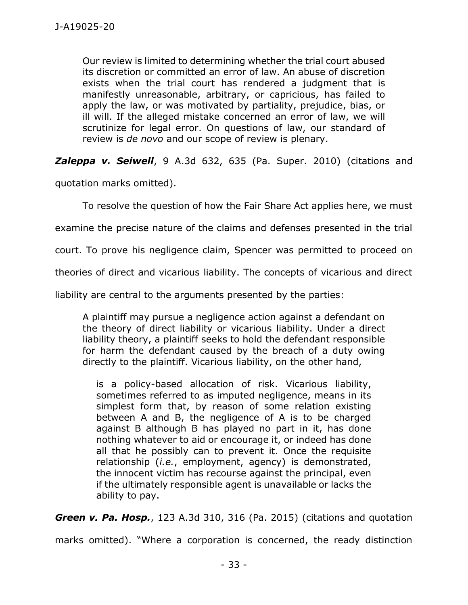Our review is limited to determining whether the trial court abused its discretion or committed an error of law. An abuse of discretion exists when the trial court has rendered a judgment that is manifestly unreasonable, arbitrary, or capricious, has failed to apply the law, or was motivated by partiality, prejudice, bias, or ill will. If the alleged mistake concerned an error of law, we will scrutinize for legal error. On questions of law, our standard of review is *de novo* and our scope of review is plenary.

*Zaleppa v. Seiwell*, 9 A.3d 632, 635 (Pa. Super. 2010) (citations and

quotation marks omitted).

To resolve the question of how the Fair Share Act applies here, we must

examine the precise nature of the claims and defenses presented in the trial

court. To prove his negligence claim, Spencer was permitted to proceed on

theories of direct and vicarious liability. The concepts of vicarious and direct

liability are central to the arguments presented by the parties:

A plaintiff may pursue a negligence action against a defendant on the theory of direct liability or vicarious liability. Under a direct liability theory, a plaintiff seeks to hold the defendant responsible for harm the defendant caused by the breach of a duty owing directly to the plaintiff. Vicarious liability, on the other hand,

is a policy-based allocation of risk. Vicarious liability, sometimes referred to as imputed negligence, means in its simplest form that, by reason of some relation existing between A and B, the negligence of A is to be charged against B although B has played no part in it, has done nothing whatever to aid or encourage it, or indeed has done all that he possibly can to prevent it. Once the requisite relationship (*i.e.*, employment, agency) is demonstrated, the innocent victim has recourse against the principal, even if the ultimately responsible agent is unavailable or lacks the ability to pay.

*Green v. Pa. Hosp.*, 123 A.3d 310, 316 (Pa. 2015) (citations and quotation

marks omitted). "Where a corporation is concerned, the ready distinction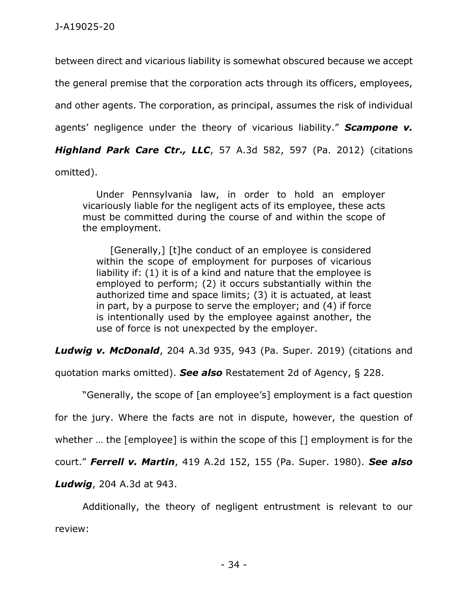between direct and vicarious liability is somewhat obscured because we accept the general premise that the corporation acts through its officers, employees, and other agents. The corporation, as principal, assumes the risk of individual agents' negligence under the theory of vicarious liability." *Scampone v. Highland Park Care Ctr., LLC*, 57 A.3d 582, 597 (Pa. 2012) (citations omitted).

Under Pennsylvania law, in order to hold an employer vicariously liable for the negligent acts of its employee, these acts must be committed during the course of and within the scope of the employment.

[Generally,] [t]he conduct of an employee is considered within the scope of employment for purposes of vicarious liability if: (1) it is of a kind and nature that the employee is employed to perform; (2) it occurs substantially within the authorized time and space limits; (3) it is actuated, at least in part, by a purpose to serve the employer; and (4) if force is intentionally used by the employee against another, the use of force is not unexpected by the employer.

*Ludwig v. McDonald*, 204 A.3d 935, 943 (Pa. Super. 2019) (citations and

quotation marks omitted). *See also* Restatement 2d of Agency, § 228.

"Generally, the scope of [an employee's] employment is a fact question

for the jury. Where the facts are not in dispute, however, the question of

whether … the [employee] is within the scope of this [] employment is for the

court." *Ferrell v. Martin*, 419 A.2d 152, 155 (Pa. Super. 1980). *See also* 

*Ludwig*, 204 A.3d at 943.

Additionally, the theory of negligent entrustment is relevant to our review: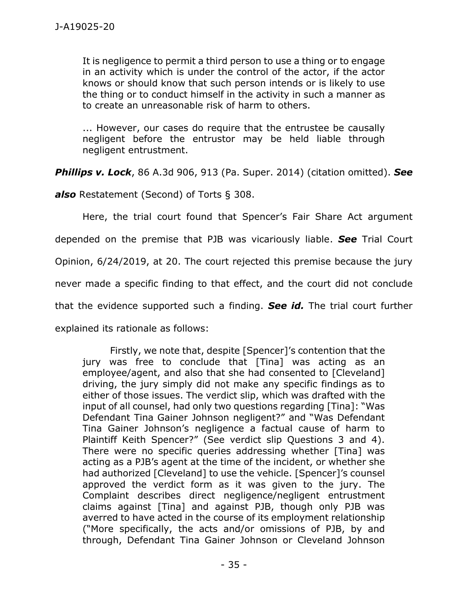It is negligence to permit a third person to use a thing or to engage in an activity which is under the control of the actor, if the actor knows or should know that such person intends or is likely to use the thing or to conduct himself in the activity in such a manner as to create an unreasonable risk of harm to others.

... However, our cases do require that the entrustee be causally negligent before the entrustor may be held liable through negligent entrustment.

*Phillips v. Lock*, 86 A.3d 906, 913 (Pa. Super. 2014) (citation omitted). *See* 

*also* Restatement (Second) of Torts § 308.

Here, the trial court found that Spencer's Fair Share Act argument depended on the premise that PJB was vicariously liable. *See* Trial Court Opinion, 6/24/2019, at 20. The court rejected this premise because the jury never made a specific finding to that effect, and the court did not conclude that the evidence supported such a finding. *See id.* The trial court further explained its rationale as follows:

Firstly, we note that, despite [Spencer]'s contention that the jury was free to conclude that [Tina] was acting as an employee/agent, and also that she had consented to [Cleveland] driving, the jury simply did not make any specific findings as to either of those issues. The verdict slip, which was drafted with the input of all counsel, had only two questions regarding [Tina]: "Was Defendant Tina Gainer Johnson negligent?" and "Was Defendant Tina Gainer Johnson's negligence a factual cause of harm to Plaintiff Keith Spencer?" (See verdict slip Questions 3 and 4). There were no specific queries addressing whether [Tina] was acting as a PJB's agent at the time of the incident, or whether she had authorized [Cleveland] to use the vehicle. [Spencer]'s counsel approved the verdict form as it was given to the jury. The Complaint describes direct negligence/negligent entrustment claims against [Tina] and against PJB, though only PJB was averred to have acted in the course of its employment relationship ("More specifically, the acts and/or omissions of PJB, by and through, Defendant Tina Gainer Johnson or Cleveland Johnson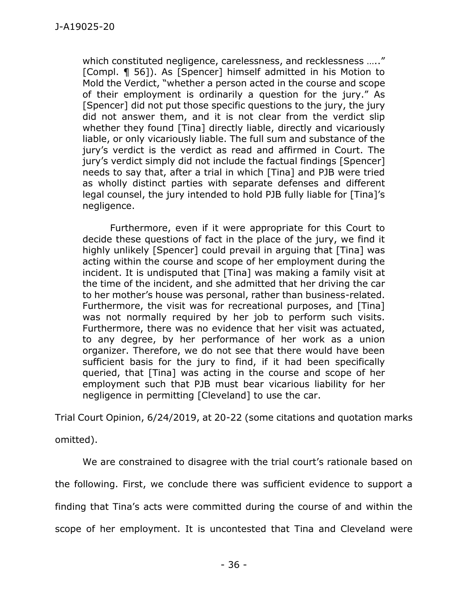which constituted negligence, carelessness, and recklessness ….." [Compl. ¶ 56]). As [Spencer] himself admitted in his Motion to Mold the Verdict, "whether a person acted in the course and scope of their employment is ordinarily a question for the jury." As [Spencer] did not put those specific questions to the jury, the jury did not answer them, and it is not clear from the verdict slip whether they found [Tina] directly liable, directly and vicariously liable, or only vicariously liable. The full sum and substance of the jury's verdict is the verdict as read and affirmed in Court. The jury's verdict simply did not include the factual findings [Spencer] needs to say that, after a trial in which [Tina] and PJB were tried as wholly distinct parties with separate defenses and different legal counsel, the jury intended to hold PJB fully liable for [Tina]'s negligence.

Furthermore, even if it were appropriate for this Court to decide these questions of fact in the place of the jury, we find it highly unlikely [Spencer] could prevail in arguing that [Tina] was acting within the course and scope of her employment during the incident. It is undisputed that [Tina] was making a family visit at the time of the incident, and she admitted that her driving the car to her mother's house was personal, rather than business-related. Furthermore, the visit was for recreational purposes, and [Tina] was not normally required by her job to perform such visits. Furthermore, there was no evidence that her visit was actuated, to any degree, by her performance of her work as a union organizer. Therefore, we do not see that there would have been sufficient basis for the jury to find, if it had been specifically queried, that [Tina] was acting in the course and scope of her employment such that PJB must bear vicarious liability for her negligence in permitting [Cleveland] to use the car.

Trial Court Opinion, 6/24/2019, at 20-22 (some citations and quotation marks

omitted).

We are constrained to disagree with the trial court's rationale based on the following. First, we conclude there was sufficient evidence to support a finding that Tina's acts were committed during the course of and within the scope of her employment. It is uncontested that Tina and Cleveland were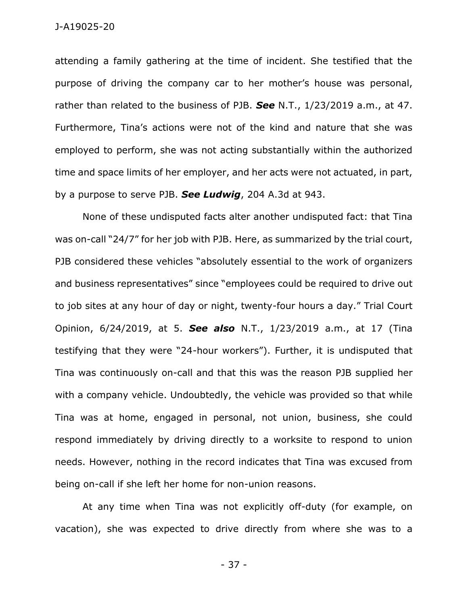attending a family gathering at the time of incident. She testified that the purpose of driving the company car to her mother's house was personal, rather than related to the business of PJB. *See* N.T., 1/23/2019 a.m., at 47. Furthermore, Tina's actions were not of the kind and nature that she was employed to perform, she was not acting substantially within the authorized time and space limits of her employer, and her acts were not actuated, in part, by a purpose to serve PJB. *See Ludwig*, 204 A.3d at 943.

None of these undisputed facts alter another undisputed fact: that Tina was on-call "24/7" for her job with PJB. Here, as summarized by the trial court, PJB considered these vehicles "absolutely essential to the work of organizers and business representatives" since "employees could be required to drive out to job sites at any hour of day or night, twenty-four hours a day." Trial Court Opinion, 6/24/2019, at 5. *See also* N.T., 1/23/2019 a.m., at 17 (Tina testifying that they were "24-hour workers"). Further, it is undisputed that Tina was continuously on-call and that this was the reason PJB supplied her with a company vehicle. Undoubtedly, the vehicle was provided so that while Tina was at home, engaged in personal, not union, business, she could respond immediately by driving directly to a worksite to respond to union needs. However, nothing in the record indicates that Tina was excused from being on-call if she left her home for non-union reasons.

At any time when Tina was not explicitly off-duty (for example, on vacation), she was expected to drive directly from where she was to a

- 37 -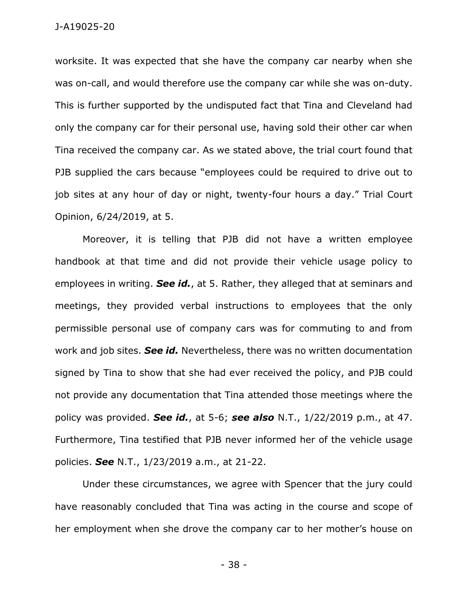worksite. It was expected that she have the company car nearby when she was on-call, and would therefore use the company car while she was on-duty. This is further supported by the undisputed fact that Tina and Cleveland had only the company car for their personal use, having sold their other car when Tina received the company car. As we stated above, the trial court found that PJB supplied the cars because "employees could be required to drive out to job sites at any hour of day or night, twenty-four hours a day." Trial Court Opinion, 6/24/2019, at 5.

Moreover, it is telling that PJB did not have a written employee handbook at that time and did not provide their vehicle usage policy to employees in writing. *See id.*, at 5. Rather, they alleged that at seminars and meetings, they provided verbal instructions to employees that the only permissible personal use of company cars was for commuting to and from work and job sites. *See id.* Nevertheless, there was no written documentation signed by Tina to show that she had ever received the policy, and PJB could not provide any documentation that Tina attended those meetings where the policy was provided. *See id.*, at 5-6; *see also* N.T., 1/22/2019 p.m., at 47. Furthermore, Tina testified that PJB never informed her of the vehicle usage policies. *See* N.T., 1/23/2019 a.m., at 21-22.

Under these circumstances, we agree with Spencer that the jury could have reasonably concluded that Tina was acting in the course and scope of her employment when she drove the company car to her mother's house on

- 38 -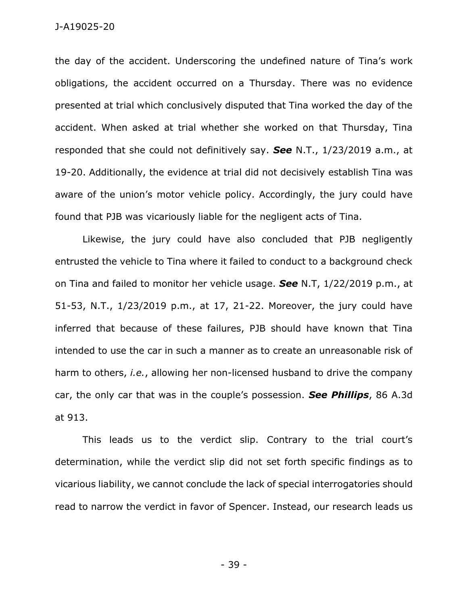the day of the accident. Underscoring the undefined nature of Tina's work obligations, the accident occurred on a Thursday. There was no evidence presented at trial which conclusively disputed that Tina worked the day of the accident. When asked at trial whether she worked on that Thursday, Tina responded that she could not definitively say. *See* N.T., 1/23/2019 a.m., at 19-20. Additionally, the evidence at trial did not decisively establish Tina was aware of the union's motor vehicle policy. Accordingly, the jury could have found that PJB was vicariously liable for the negligent acts of Tina.

Likewise, the jury could have also concluded that PJB negligently entrusted the vehicle to Tina where it failed to conduct to a background check on Tina and failed to monitor her vehicle usage. *See* N.T, 1/22/2019 p.m., at 51-53, N.T., 1/23/2019 p.m., at 17, 21-22. Moreover, the jury could have inferred that because of these failures, PJB should have known that Tina intended to use the car in such a manner as to create an unreasonable risk of harm to others, *i.e.*, allowing her non-licensed husband to drive the company car, the only car that was in the couple's possession. *See Phillips*, 86 A.3d at 913.

This leads us to the verdict slip. Contrary to the trial court's determination, while the verdict slip did not set forth specific findings as to vicarious liability, we cannot conclude the lack of special interrogatories should read to narrow the verdict in favor of Spencer. Instead, our research leads us

- 39 -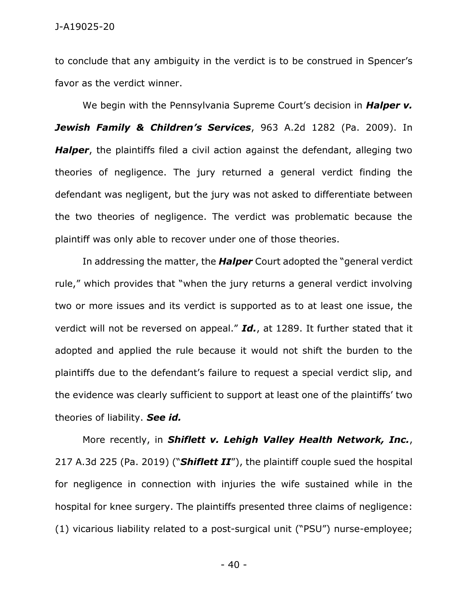to conclude that any ambiguity in the verdict is to be construed in Spencer's favor as the verdict winner.

We begin with the Pennsylvania Supreme Court's decision in *Halper v. Jewish Family & Children's Services*, 963 A.2d 1282 (Pa. 2009). In *Halper*, the plaintiffs filed a civil action against the defendant, alleging two theories of negligence. The jury returned a general verdict finding the defendant was negligent, but the jury was not asked to differentiate between the two theories of negligence. The verdict was problematic because the plaintiff was only able to recover under one of those theories.

In addressing the matter, the *Halper* Court adopted the "general verdict rule," which provides that "when the jury returns a general verdict involving two or more issues and its verdict is supported as to at least one issue, the verdict will not be reversed on appeal." *Id.*, at 1289. It further stated that it adopted and applied the rule because it would not shift the burden to the plaintiffs due to the defendant's failure to request a special verdict slip, and the evidence was clearly sufficient to support at least one of the plaintiffs' two theories of liability. *See id.*

More recently, in *Shiflett v. Lehigh Valley Health Network, Inc.*, 217 A.3d 225 (Pa. 2019) ("*Shiflett II*"), the plaintiff couple sued the hospital for negligence in connection with injuries the wife sustained while in the hospital for knee surgery. The plaintiffs presented three claims of negligence: (1) vicarious liability related to a post-surgical unit ("PSU") nurse-employee;

 $-40-$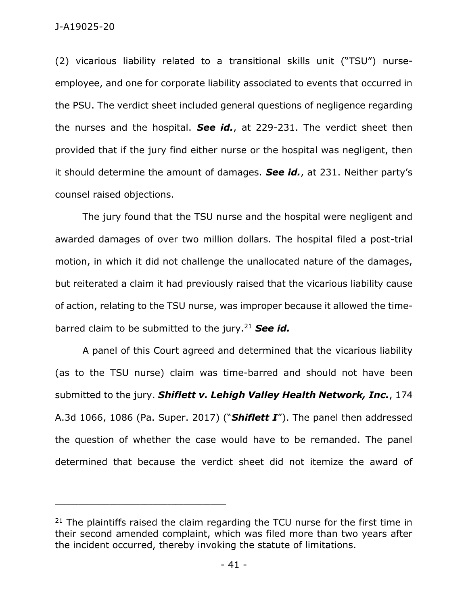J-A19025-20

(2) vicarious liability related to a transitional skills unit ("TSU") nurseemployee, and one for corporate liability associated to events that occurred in the PSU. The verdict sheet included general questions of negligence regarding the nurses and the hospital. *See id.*, at 229-231. The verdict sheet then provided that if the jury find either nurse or the hospital was negligent, then it should determine the amount of damages. *See id.*, at 231. Neither party's counsel raised objections.

The jury found that the TSU nurse and the hospital were negligent and awarded damages of over two million dollars. The hospital filed a post-trial motion, in which it did not challenge the unallocated nature of the damages, but reiterated a claim it had previously raised that the vicarious liability cause of action, relating to the TSU nurse, was improper because it allowed the timebarred claim to be submitted to the jury.<sup>21</sup> *See id.*

A panel of this Court agreed and determined that the vicarious liability (as to the TSU nurse) claim was time-barred and should not have been submitted to the jury. *Shiflett v. Lehigh Valley Health Network, Inc.*, 174 A.3d 1066, 1086 (Pa. Super. 2017) ("*Shiflett I*"). The panel then addressed the question of whether the case would have to be remanded. The panel determined that because the verdict sheet did not itemize the award of

\_\_\_\_\_\_\_\_\_\_\_\_\_\_\_\_\_\_\_\_\_\_\_\_\_\_\_\_\_\_\_\_\_\_\_\_\_\_\_\_\_\_\_\_

 $21$  The plaintiffs raised the claim regarding the TCU nurse for the first time in their second amended complaint, which was filed more than two years after the incident occurred, thereby invoking the statute of limitations.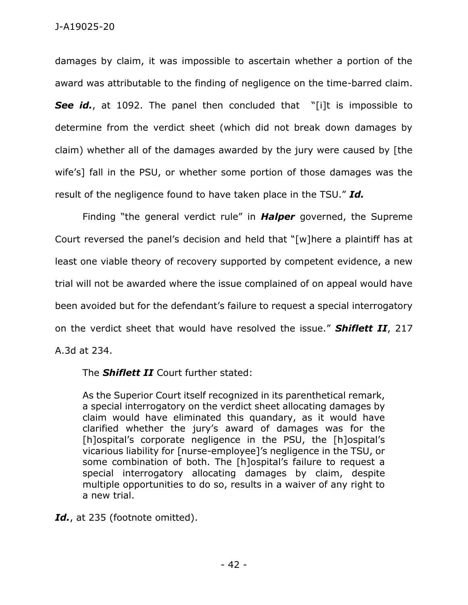damages by claim, it was impossible to ascertain whether a portion of the award was attributable to the finding of negligence on the time-barred claim. **See id.**, at 1092. The panel then concluded that "[i]t is impossible to determine from the verdict sheet (which did not break down damages by claim) whether all of the damages awarded by the jury were caused by [the wife's] fall in the PSU, or whether some portion of those damages was the result of the negligence found to have taken place in the TSU." *Id.*

Finding "the general verdict rule" in *Halper* governed, the Supreme Court reversed the panel's decision and held that "[w]here a plaintiff has at least one viable theory of recovery supported by competent evidence, a new trial will not be awarded where the issue complained of on appeal would have been avoided but for the defendant's failure to request a special interrogatory on the verdict sheet that would have resolved the issue." *Shiflett II*, 217 A.3d at 234.

The *Shiflett II* Court further stated:

As the Superior Court itself recognized in its parenthetical remark, a special interrogatory on the verdict sheet allocating damages by claim would have eliminated this quandary, as it would have clarified whether the jury's award of damages was for the [h]ospital's corporate negligence in the PSU, the [h]ospital's vicarious liability for [nurse-employee]'s negligence in the TSU, or some combination of both. The [h]ospital's failure to request a special interrogatory allocating damages by claim, despite multiple opportunities to do so, results in a waiver of any right to a new trial.

*Id.*, at 235 (footnote omitted).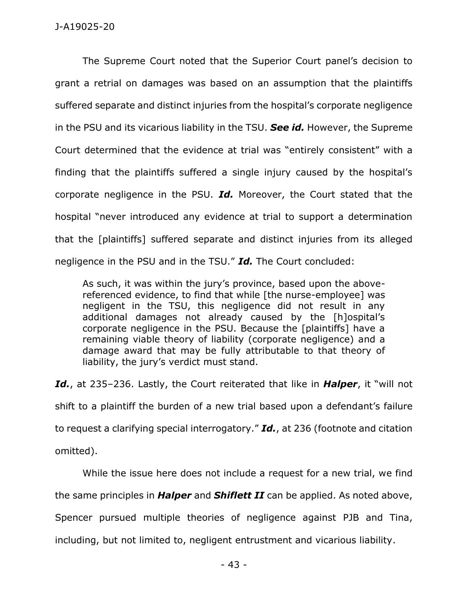The Supreme Court noted that the Superior Court panel's decision to grant a retrial on damages was based on an assumption that the plaintiffs suffered separate and distinct injuries from the hospital's corporate negligence in the PSU and its vicarious liability in the TSU. *See id.* However, the Supreme Court determined that the evidence at trial was "entirely consistent" with a finding that the plaintiffs suffered a single injury caused by the hospital's corporate negligence in the PSU. *Id.* Moreover, the Court stated that the hospital "never introduced any evidence at trial to support a determination that the [plaintiffs] suffered separate and distinct injuries from its alleged negligence in the PSU and in the TSU." *Id.* The Court concluded:

As such, it was within the jury's province, based upon the abovereferenced evidence, to find that while [the nurse-employee] was negligent in the TSU, this negligence did not result in any additional damages not already caused by the [h]ospital's corporate negligence in the PSU. Because the [plaintiffs] have a remaining viable theory of liability (corporate negligence) and a damage award that may be fully attributable to that theory of liability, the jury's verdict must stand.

*Id.*, at 235–236. Lastly, the Court reiterated that like in *Halper*, it "will not shift to a plaintiff the burden of a new trial based upon a defendant's failure to request a clarifying special interrogatory." *Id.*, at 236 (footnote and citation omitted).

While the issue here does not include a request for a new trial, we find the same principles in *Halper* and *Shiflett II* can be applied. As noted above, Spencer pursued multiple theories of negligence against PJB and Tina, including, but not limited to, negligent entrustment and vicarious liability.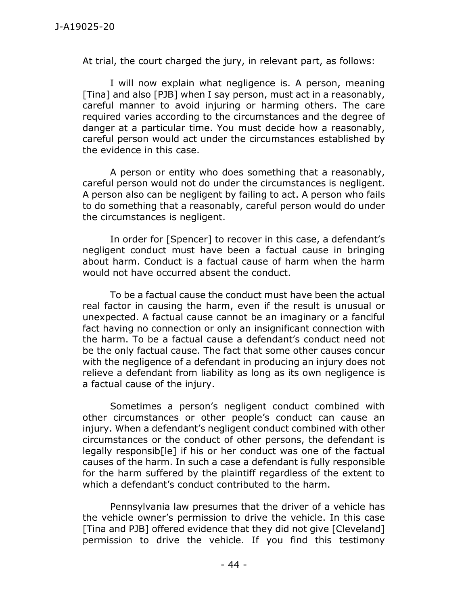At trial, the court charged the jury, in relevant part, as follows:

I will now explain what negligence is. A person, meaning [Tina] and also [PJB] when I say person, must act in a reasonably, careful manner to avoid injuring or harming others. The care required varies according to the circumstances and the degree of danger at a particular time. You must decide how a reasonably, careful person would act under the circumstances established by the evidence in this case.

A person or entity who does something that a reasonably, careful person would not do under the circumstances is negligent. A person also can be negligent by failing to act. A person who fails to do something that a reasonably, careful person would do under the circumstances is negligent.

In order for [Spencer] to recover in this case, a defendant's negligent conduct must have been a factual cause in bringing about harm. Conduct is a factual cause of harm when the harm would not have occurred absent the conduct.

To be a factual cause the conduct must have been the actual real factor in causing the harm, even if the result is unusual or unexpected. A factual cause cannot be an imaginary or a fanciful fact having no connection or only an insignificant connection with the harm. To be a factual cause a defendant's conduct need not be the only factual cause. The fact that some other causes concur with the negligence of a defendant in producing an injury does not relieve a defendant from liability as long as its own negligence is a factual cause of the injury.

Sometimes a person's negligent conduct combined with other circumstances or other people's conduct can cause an injury. When a defendant's negligent conduct combined with other circumstances or the conduct of other persons, the defendant is legally responsib[le] if his or her conduct was one of the factual causes of the harm. In such a case a defendant is fully responsible for the harm suffered by the plaintiff regardless of the extent to which a defendant's conduct contributed to the harm.

Pennsylvania law presumes that the driver of a vehicle has the vehicle owner's permission to drive the vehicle. In this case [Tina and PJB] offered evidence that they did not give [Cleveland] permission to drive the vehicle. If you find this testimony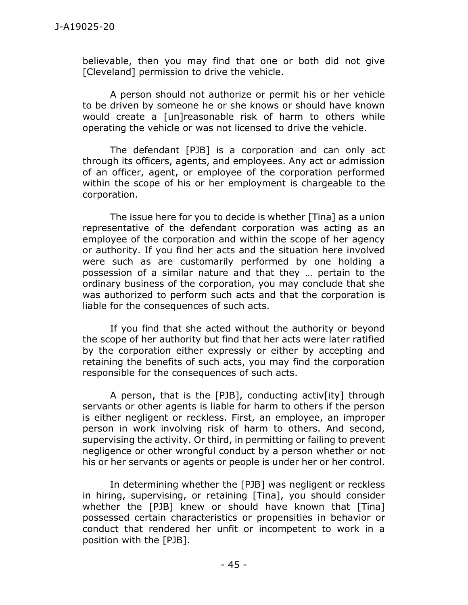believable, then you may find that one or both did not give [Cleveland] permission to drive the vehicle.

A person should not authorize or permit his or her vehicle to be driven by someone he or she knows or should have known would create a [un]reasonable risk of harm to others while operating the vehicle or was not licensed to drive the vehicle.

The defendant [PJB] is a corporation and can only act through its officers, agents, and employees. Any act or admission of an officer, agent, or employee of the corporation performed within the scope of his or her employment is chargeable to the corporation.

The issue here for you to decide is whether [Tina] as a union representative of the defendant corporation was acting as an employee of the corporation and within the scope of her agency or authority. If you find her acts and the situation here involved were such as are customarily performed by one holding a possession of a similar nature and that they … pertain to the ordinary business of the corporation, you may conclude that she was authorized to perform such acts and that the corporation is liable for the consequences of such acts.

If you find that she acted without the authority or beyond the scope of her authority but find that her acts were later ratified by the corporation either expressly or either by accepting and retaining the benefits of such acts, you may find the corporation responsible for the consequences of such acts.

A person, that is the [PJB], conducting activ[ity] through servants or other agents is liable for harm to others if the person is either negligent or reckless. First, an employee, an improper person in work involving risk of harm to others. And second, supervising the activity. Or third, in permitting or failing to prevent negligence or other wrongful conduct by a person whether or not his or her servants or agents or people is under her or her control.

In determining whether the [PJB] was negligent or reckless in hiring, supervising, or retaining [Tina], you should consider whether the [PJB] knew or should have known that [Tina] possessed certain characteristics or propensities in behavior or conduct that rendered her unfit or incompetent to work in a position with the [PJB].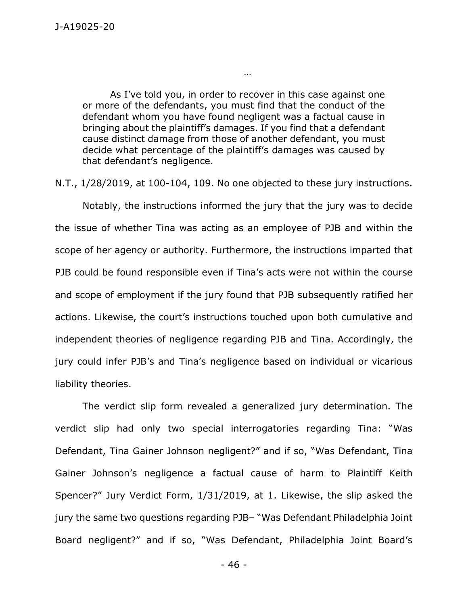As I've told you, in order to recover in this case against one or more of the defendants, you must find that the conduct of the defendant whom you have found negligent was a factual cause in bringing about the plaintiff's damages. If you find that a defendant cause distinct damage from those of another defendant, you must decide what percentage of the plaintiff's damages was caused by that defendant's negligence.

…

N.T., 1/28/2019, at 100-104, 109. No one objected to these jury instructions.

Notably, the instructions informed the jury that the jury was to decide the issue of whether Tina was acting as an employee of PJB and within the scope of her agency or authority. Furthermore, the instructions imparted that PJB could be found responsible even if Tina's acts were not within the course and scope of employment if the jury found that PJB subsequently ratified her actions. Likewise, the court's instructions touched upon both cumulative and independent theories of negligence regarding PJB and Tina. Accordingly, the jury could infer PJB's and Tina's negligence based on individual or vicarious liability theories.

The verdict slip form revealed a generalized jury determination. The verdict slip had only two special interrogatories regarding Tina: "Was Defendant, Tina Gainer Johnson negligent?" and if so, "Was Defendant, Tina Gainer Johnson's negligence a factual cause of harm to Plaintiff Keith Spencer?" Jury Verdict Form, 1/31/2019, at 1. Likewise, the slip asked the jury the same two questions regarding PJB– "Was Defendant Philadelphia Joint Board negligent?" and if so, "Was Defendant, Philadelphia Joint Board's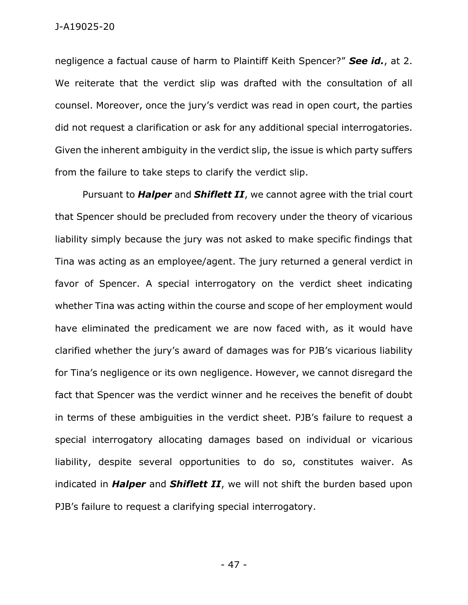negligence a factual cause of harm to Plaintiff Keith Spencer?" *See id.*, at 2. We reiterate that the verdict slip was drafted with the consultation of all counsel. Moreover, once the jury's verdict was read in open court, the parties did not request a clarification or ask for any additional special interrogatories. Given the inherent ambiguity in the verdict slip, the issue is which party suffers from the failure to take steps to clarify the verdict slip.

Pursuant to *Halper* and *Shiflett II*, we cannot agree with the trial court that Spencer should be precluded from recovery under the theory of vicarious liability simply because the jury was not asked to make specific findings that Tina was acting as an employee/agent. The jury returned a general verdict in favor of Spencer. A special interrogatory on the verdict sheet indicating whether Tina was acting within the course and scope of her employment would have eliminated the predicament we are now faced with, as it would have clarified whether the jury's award of damages was for PJB's vicarious liability for Tina's negligence or its own negligence. However, we cannot disregard the fact that Spencer was the verdict winner and he receives the benefit of doubt in terms of these ambiguities in the verdict sheet. PJB's failure to request a special interrogatory allocating damages based on individual or vicarious liability, despite several opportunities to do so, constitutes waiver. As indicated in *Halper* and *Shiflett II*, we will not shift the burden based upon PJB's failure to request a clarifying special interrogatory.

- 47 -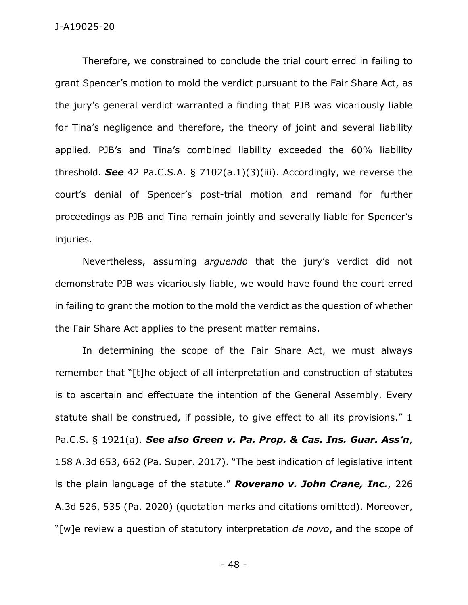Therefore, we constrained to conclude the trial court erred in failing to grant Spencer's motion to mold the verdict pursuant to the Fair Share Act, as the jury's general verdict warranted a finding that PJB was vicariously liable for Tina's negligence and therefore, the theory of joint and several liability applied. PJB's and Tina's combined liability exceeded the 60% liability threshold. *See* 42 Pa.C.S.A. § 7102(a.1)(3)(iii). Accordingly, we reverse the court's denial of Spencer's post-trial motion and remand for further proceedings as PJB and Tina remain jointly and severally liable for Spencer's injuries.

Nevertheless, assuming *arguendo* that the jury's verdict did not demonstrate PJB was vicariously liable, we would have found the court erred in failing to grant the motion to the mold the verdict as the question of whether the Fair Share Act applies to the present matter remains.

In determining the scope of the Fair Share Act, we must always remember that "[t]he object of all interpretation and construction of statutes is to ascertain and effectuate the intention of the General Assembly. Every statute shall be construed, if possible, to give effect to all its provisions." 1 Pa.C.S. § 1921(a). *See also Green v. Pa. Prop. & Cas. Ins. Guar. Ass'n*, 158 A.3d 653, 662 (Pa. Super. 2017). "The best indication of legislative intent is the plain language of the statute." *Roverano v. John Crane, Inc.*, 226 A.3d 526, 535 (Pa. 2020) (quotation marks and citations omitted). Moreover, "[w]e review a question of statutory interpretation *de novo*, and the scope of

- 48 -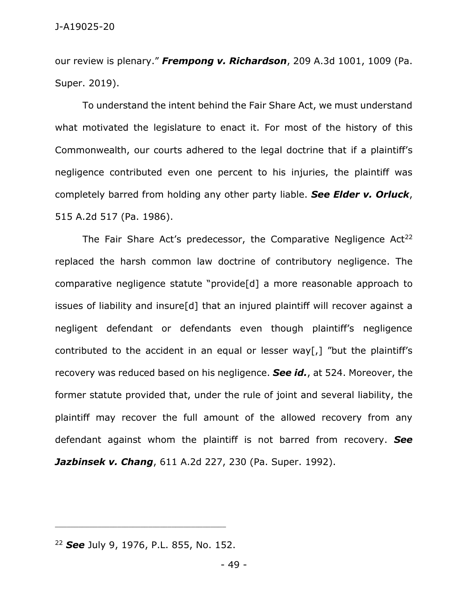our review is plenary." *Frempong v. Richardson*, 209 A.3d 1001, 1009 (Pa. Super. 2019).

To understand the intent behind the Fair Share Act, we must understand what motivated the legislature to enact it. For most of the history of this Commonwealth, our courts adhered to the legal doctrine that if a plaintiff's negligence contributed even one percent to his injuries, the plaintiff was completely barred from holding any other party liable. *See Elder v. Orluck*, 515 A.2d 517 (Pa. 1986).

The Fair Share Act's predecessor, the Comparative Negligence  $Act^{22}$ replaced the harsh common law doctrine of contributory negligence. The comparative negligence statute "provide[d] a more reasonable approach to issues of liability and insure[d] that an injured plaintiff will recover against a negligent defendant or defendants even though plaintiff's negligence contributed to the accident in an equal or lesser way[,] "but the plaintiff's recovery was reduced based on his negligence. *See id.*, at 524. Moreover, the former statute provided that, under the rule of joint and several liability, the plaintiff may recover the full amount of the allowed recovery from any defendant against whom the plaintiff is not barred from recovery. *See Jazbinsek v. Chang*, 611 A.2d 227, 230 (Pa. Super. 1992).

\_\_\_\_\_\_\_\_\_\_\_\_\_\_\_\_\_\_\_\_\_\_\_\_\_\_\_\_\_\_\_\_\_\_\_\_\_\_\_\_\_\_\_\_

<sup>22</sup> *See* July 9, 1976, P.L. 855, No. 152.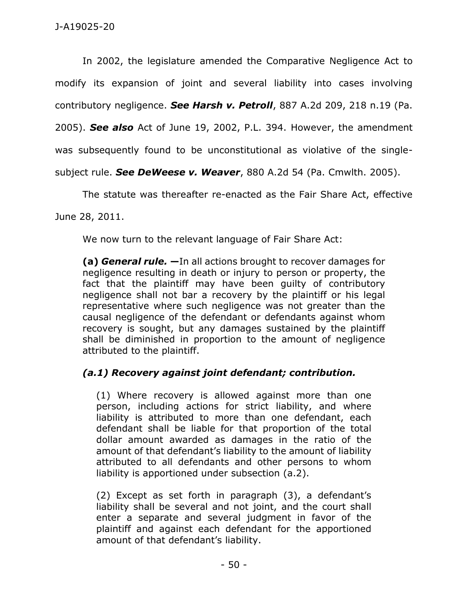In 2002, the legislature amended the Comparative Negligence Act to modify its expansion of joint and several liability into cases involving contributory negligence. *See Harsh v. Petroll*, 887 A.2d 209, 218 n.19 (Pa. 2005). *See also* Act of June 19, 2002, P.L. 394. However, the amendment was subsequently found to be unconstitutional as violative of the singlesubject rule. *See DeWeese v. Weaver*, 880 A.2d 54 (Pa. Cmwlth. 2005).

The statute was thereafter re-enacted as the Fair Share Act, effective

June 28, 2011.

We now turn to the relevant language of Fair Share Act:

**(a)** *General rule.* **—**In all actions brought to recover damages for negligence resulting in death or injury to person or property, the fact that the plaintiff may have been guilty of contributory negligence shall not bar a recovery by the plaintiff or his legal representative where such negligence was not greater than the causal negligence of the defendant or defendants against whom recovery is sought, but any damages sustained by the plaintiff shall be diminished in proportion to the amount of negligence attributed to the plaintiff.

# *(a.1) Recovery against joint defendant; contribution.*

(1) Where recovery is allowed against more than one person, including actions for strict liability, and where liability is attributed to more than one defendant, each defendant shall be liable for that proportion of the total dollar amount awarded as damages in the ratio of the amount of that defendant's liability to the amount of liability attributed to all defendants and other persons to whom liability is apportioned under subsection (a.2).

(2) Except as set forth in paragraph (3), a defendant's liability shall be several and not joint, and the court shall enter a separate and several judgment in favor of the plaintiff and against each defendant for the apportioned amount of that defendant's liability.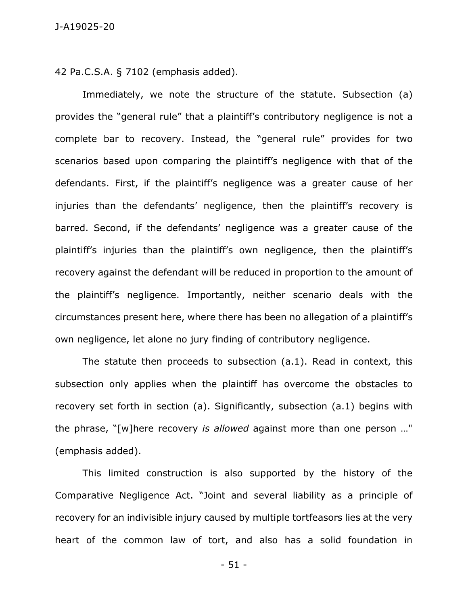42 Pa.C.S.A. § 7102 (emphasis added).

Immediately, we note the structure of the statute. Subsection (a) provides the "general rule" that a plaintiff's contributory negligence is not a complete bar to recovery. Instead, the "general rule" provides for two scenarios based upon comparing the plaintiff's negligence with that of the defendants. First, if the plaintiff's negligence was a greater cause of her injuries than the defendants' negligence, then the plaintiff's recovery is barred. Second, if the defendants' negligence was a greater cause of the plaintiff's injuries than the plaintiff's own negligence, then the plaintiff's recovery against the defendant will be reduced in proportion to the amount of the plaintiff's negligence. Importantly, neither scenario deals with the circumstances present here, where there has been no allegation of a plaintiff's own negligence, let alone no jury finding of contributory negligence.

The statute then proceeds to subsection (a.1). Read in context, this subsection only applies when the plaintiff has overcome the obstacles to recovery set forth in section (a). Significantly, subsection (a.1) begins with the phrase, "[w]here recovery *is allowed* against more than one person …" (emphasis added).

This limited construction is also supported by the history of the Comparative Negligence Act. "Joint and several liability as a principle of recovery for an indivisible injury caused by multiple tortfeasors lies at the very heart of the common law of tort, and also has a solid foundation in

- 51 -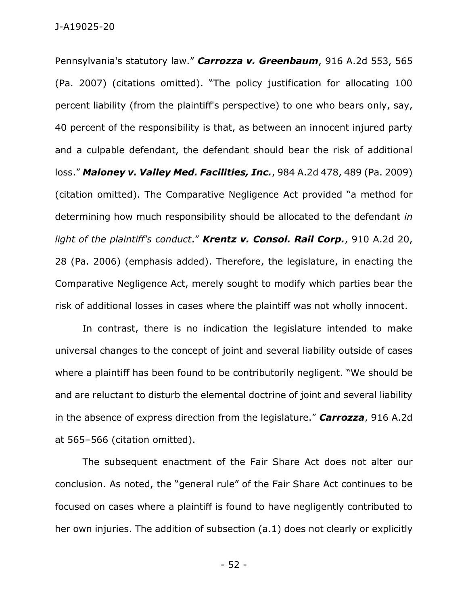Pennsylvania's statutory law." *Carrozza v. Greenbaum*, 916 A.2d 553, 565 (Pa. 2007) (citations omitted). "The policy justification for allocating 100 percent liability (from the plaintiff's perspective) to one who bears only, say, 40 percent of the responsibility is that, as between an innocent injured party and a culpable defendant, the defendant should bear the risk of additional loss." *Maloney v. Valley Med. Facilities, Inc.*, 984 A.2d 478, 489 (Pa. 2009) (citation omitted). The Comparative Negligence Act provided "a method for determining how much responsibility should be allocated to the defendant *in light of the plaintiff's conduct*." *Krentz v. Consol. Rail Corp.*, 910 A.2d 20, 28 (Pa. 2006) (emphasis added). Therefore, the legislature, in enacting the Comparative Negligence Act, merely sought to modify which parties bear the risk of additional losses in cases where the plaintiff was not wholly innocent.

In contrast, there is no indication the legislature intended to make universal changes to the concept of joint and several liability outside of cases where a plaintiff has been found to be contributorily negligent. "We should be and are reluctant to disturb the elemental doctrine of joint and several liability in the absence of express direction from the legislature." *Carrozza*, 916 A.2d at 565–566 (citation omitted).

The subsequent enactment of the Fair Share Act does not alter our conclusion. As noted, the "general rule" of the Fair Share Act continues to be focused on cases where a plaintiff is found to have negligently contributed to her own injuries. The addition of subsection (a.1) does not clearly or explicitly

- 52 -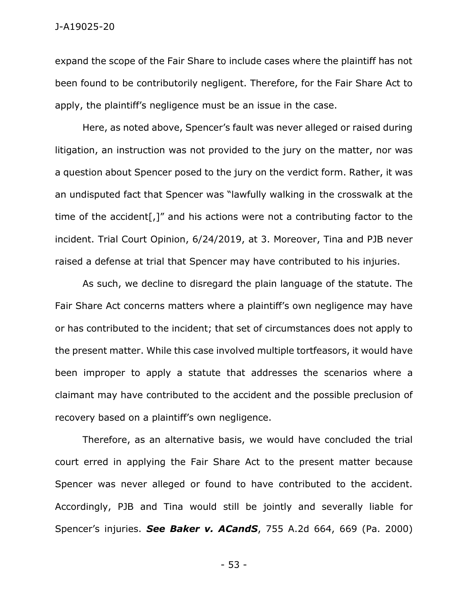expand the scope of the Fair Share to include cases where the plaintiff has not been found to be contributorily negligent. Therefore, for the Fair Share Act to apply, the plaintiff's negligence must be an issue in the case.

Here, as noted above, Spencer's fault was never alleged or raised during litigation, an instruction was not provided to the jury on the matter, nor was a question about Spencer posed to the jury on the verdict form. Rather, it was an undisputed fact that Spencer was "lawfully walking in the crosswalk at the time of the accident[,]" and his actions were not a contributing factor to the incident. Trial Court Opinion, 6/24/2019, at 3. Moreover, Tina and PJB never raised a defense at trial that Spencer may have contributed to his injuries.

As such, we decline to disregard the plain language of the statute. The Fair Share Act concerns matters where a plaintiff's own negligence may have or has contributed to the incident; that set of circumstances does not apply to the present matter. While this case involved multiple tortfeasors, it would have been improper to apply a statute that addresses the scenarios where a claimant may have contributed to the accident and the possible preclusion of recovery based on a plaintiff's own negligence.

Therefore, as an alternative basis, we would have concluded the trial court erred in applying the Fair Share Act to the present matter because Spencer was never alleged or found to have contributed to the accident. Accordingly, PJB and Tina would still be jointly and severally liable for Spencer's injuries. *See Baker v. ACandS*, 755 A.2d 664, 669 (Pa. 2000)

- 53 -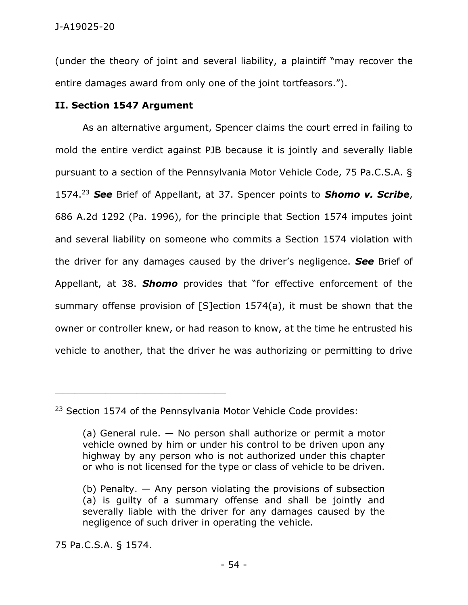(under the theory of joint and several liability, a plaintiff "may recover the entire damages award from only one of the joint tortfeasors.").

## **II. Section 1547 Argument**

As an alternative argument, Spencer claims the court erred in failing to mold the entire verdict against PJB because it is jointly and severally liable pursuant to a section of the Pennsylvania Motor Vehicle Code, 75 Pa.C.S.A. § 1574.<sup>23</sup> *See* Brief of Appellant, at 37. Spencer points to *Shomo v. Scribe*, 686 A.2d 1292 (Pa. 1996), for the principle that Section 1574 imputes joint and several liability on someone who commits a Section 1574 violation with the driver for any damages caused by the driver's negligence. *See* Brief of Appellant, at 38. *Shomo* provides that "for effective enforcement of the summary offense provision of [S]ection 1574(a), it must be shown that the owner or controller knew, or had reason to know, at the time he entrusted his vehicle to another, that the driver he was authorizing or permitting to drive

75 Pa.C.S.A. § 1574.

\_\_\_\_\_\_\_\_\_\_\_\_\_\_\_\_\_\_\_\_\_\_\_\_\_\_\_\_\_\_\_\_\_\_\_\_\_\_\_\_\_\_\_\_

<sup>&</sup>lt;sup>23</sup> Section 1574 of the Pennsylvania Motor Vehicle Code provides:

<sup>(</sup>a) General rule. — No person shall authorize or permit a motor vehicle owned by him or under his control to be driven upon any highway by any person who is not authorized under this chapter or who is not licensed for the type or class of vehicle to be driven.

<sup>(</sup>b) Penalty. — Any person violating the provisions of subsection (a) is guilty of a summary offense and shall be jointly and severally liable with the driver for any damages caused by the negligence of such driver in operating the vehicle.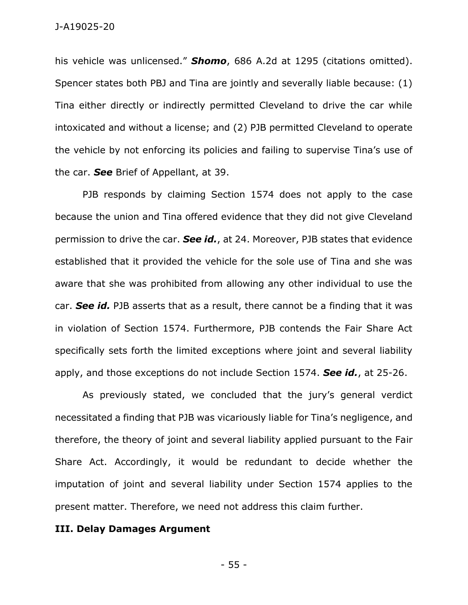his vehicle was unlicensed." *Shomo*, 686 A.2d at 1295 (citations omitted). Spencer states both PBJ and Tina are jointly and severally liable because: (1) Tina either directly or indirectly permitted Cleveland to drive the car while intoxicated and without a license; and (2) PJB permitted Cleveland to operate the vehicle by not enforcing its policies and failing to supervise Tina's use of the car. *See* Brief of Appellant, at 39.

PJB responds by claiming Section 1574 does not apply to the case because the union and Tina offered evidence that they did not give Cleveland permission to drive the car. *See id.*, at 24. Moreover, PJB states that evidence established that it provided the vehicle for the sole use of Tina and she was aware that she was prohibited from allowing any other individual to use the car. *See id.* PJB asserts that as a result, there cannot be a finding that it was in violation of Section 1574. Furthermore, PJB contends the Fair Share Act specifically sets forth the limited exceptions where joint and several liability apply, and those exceptions do not include Section 1574. *See id.*, at 25-26.

As previously stated, we concluded that the jury's general verdict necessitated a finding that PJB was vicariously liable for Tina's negligence, and therefore, the theory of joint and several liability applied pursuant to the Fair Share Act. Accordingly, it would be redundant to decide whether the imputation of joint and several liability under Section 1574 applies to the present matter. Therefore, we need not address this claim further.

### **III. Delay Damages Argument**

- 55 -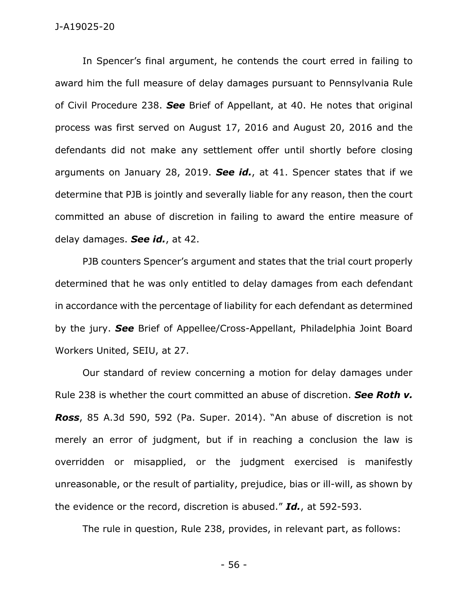#### J-A19025-20

In Spencer's final argument, he contends the court erred in failing to award him the full measure of delay damages pursuant to Pennsylvania Rule of Civil Procedure 238. *See* Brief of Appellant, at 40. He notes that original process was first served on August 17, 2016 and August 20, 2016 and the defendants did not make any settlement offer until shortly before closing arguments on January 28, 2019. *See id.*, at 41. Spencer states that if we determine that PJB is jointly and severally liable for any reason, then the court committed an abuse of discretion in failing to award the entire measure of delay damages. *See id.*, at 42.

PJB counters Spencer's argument and states that the trial court properly determined that he was only entitled to delay damages from each defendant in accordance with the percentage of liability for each defendant as determined by the jury. *See* Brief of Appellee/Cross-Appellant, Philadelphia Joint Board Workers United, SEIU, at 27.

Our standard of review concerning a motion for delay damages under Rule 238 is whether the court committed an abuse of discretion. *See Roth v. Ross*, 85 A.3d 590, 592 (Pa. Super. 2014). "An abuse of discretion is not merely an error of judgment, but if in reaching a conclusion the law is overridden or misapplied, or the judgment exercised is manifestly unreasonable, or the result of partiality, prejudice, bias or ill-will, as shown by the evidence or the record, discretion is abused." *Id.*, at 592-593.

The rule in question, Rule 238, provides, in relevant part, as follows:

- 56 -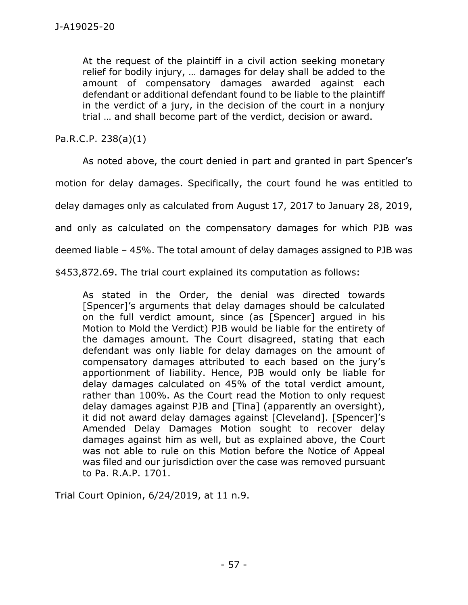At the request of the plaintiff in a civil action seeking monetary relief for bodily injury, … damages for delay shall be added to the amount of compensatory damages awarded against each defendant or additional defendant found to be liable to the plaintiff in the verdict of a jury, in the decision of the court in a nonjury trial … and shall become part of the verdict, decision or award.

Pa.R.C.P. 238(a)(1)

As noted above, the court denied in part and granted in part Spencer's

motion for delay damages. Specifically, the court found he was entitled to

delay damages only as calculated from August 17, 2017 to January 28, 2019,

and only as calculated on the compensatory damages for which PJB was

deemed liable – 45%. The total amount of delay damages assigned to PJB was

\$453,872.69. The trial court explained its computation as follows:

As stated in the Order, the denial was directed towards [Spencer]'s arguments that delay damages should be calculated on the full verdict amount, since (as [Spencer] argued in his Motion to Mold the Verdict) PJB would be liable for the entirety of the damages amount. The Court disagreed, stating that each defendant was only liable for delay damages on the amount of compensatory damages attributed to each based on the jury's apportionment of liability. Hence, PJB would only be liable for delay damages calculated on 45% of the total verdict amount, rather than 100%. As the Court read the Motion to only request delay damages against PJB and [Tina] (apparently an oversight), it did not award delay damages against [Cleveland]. [Spencer]'s Amended Delay Damages Motion sought to recover delay damages against him as well, but as explained above, the Court was not able to rule on this Motion before the Notice of Appeal was filed and our jurisdiction over the case was removed pursuant to Pa. R.A.P. 1701.

Trial Court Opinion, 6/24/2019, at 11 n.9.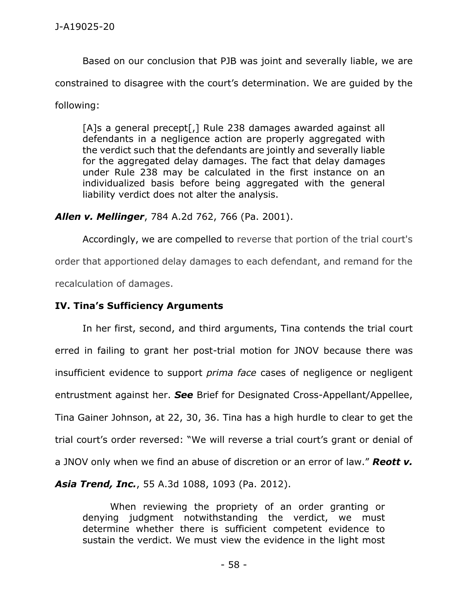Based on our conclusion that PJB was joint and severally liable, we are constrained to disagree with the court's determination. We are guided by the following:

[A]s a general precept[,] Rule 238 damages awarded against all defendants in a negligence action are properly aggregated with the verdict such that the defendants are jointly and severally liable for the aggregated delay damages. The fact that delay damages under Rule 238 may be calculated in the first instance on an individualized basis before being aggregated with the general liability verdict does not alter the analysis.

*Allen v. Mellinger*, 784 A.2d 762, 766 (Pa. 2001).

Accordingly, we are compelled to reverse that portion of the trial court's order that apportioned delay damages to each defendant, and remand for the recalculation of damages.

**IV. Tina's Sufficiency Arguments**

In her first, second, and third arguments, Tina contends the trial court erred in failing to grant her post-trial motion for JNOV because there was insufficient evidence to support *prima face* cases of negligence or negligent entrustment against her. *See* Brief for Designated Cross-Appellant/Appellee, Tina Gainer Johnson, at 22, 30, 36. Tina has a high hurdle to clear to get the trial court's order reversed: "We will reverse a trial court's grant or denial of a JNOV only when we find an abuse of discretion or an error of law." *Reott v. Asia Trend, Inc.*, 55 A.3d 1088, 1093 (Pa. 2012).

When reviewing the propriety of an order granting or denying judgment notwithstanding the verdict, we must determine whether there is sufficient competent evidence to sustain the verdict. We must view the evidence in the light most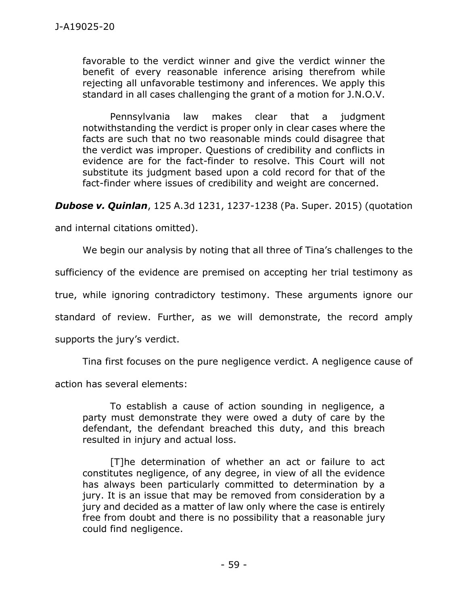favorable to the verdict winner and give the verdict winner the benefit of every reasonable inference arising therefrom while rejecting all unfavorable testimony and inferences. We apply this standard in all cases challenging the grant of a motion for J.N.O.V.

Pennsylvania law makes clear that a judgment notwithstanding the verdict is proper only in clear cases where the facts are such that no two reasonable minds could disagree that the verdict was improper. Questions of credibility and conflicts in evidence are for the fact-finder to resolve. This Court will not substitute its judgment based upon a cold record for that of the fact-finder where issues of credibility and weight are concerned.

*Dubose v. Quinlan*, 125 A.3d 1231, 1237-1238 (Pa. Super. 2015) (quotation

and internal citations omitted).

We begin our analysis by noting that all three of Tina's challenges to the

sufficiency of the evidence are premised on accepting her trial testimony as

true, while ignoring contradictory testimony. These arguments ignore our

standard of review. Further, as we will demonstrate, the record amply

supports the jury's verdict.

Tina first focuses on the pure negligence verdict. A negligence cause of

action has several elements:

To establish a cause of action sounding in negligence, a party must demonstrate they were owed a duty of care by the defendant, the defendant breached this duty, and this breach resulted in injury and actual loss.

[T]he determination of whether an act or failure to act constitutes negligence, of any degree, in view of all the evidence has always been particularly committed to determination by a jury. It is an issue that may be removed from consideration by a jury and decided as a matter of law only where the case is entirely free from doubt and there is no possibility that a reasonable jury could find negligence.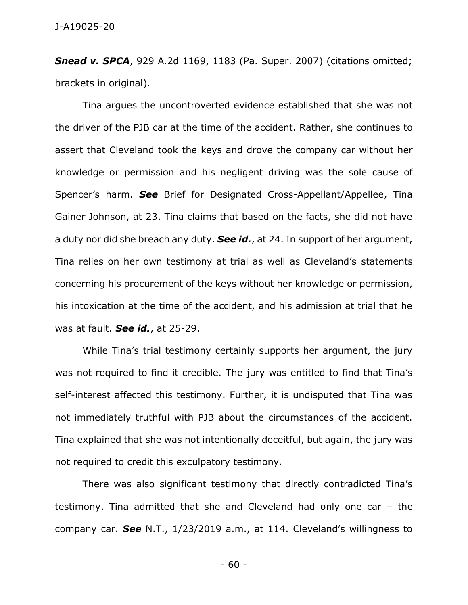*Snead v. SPCA*, 929 A.2d 1169, 1183 (Pa. Super. 2007) (citations omitted; brackets in original).

Tina argues the uncontroverted evidence established that she was not the driver of the PJB car at the time of the accident. Rather, she continues to assert that Cleveland took the keys and drove the company car without her knowledge or permission and his negligent driving was the sole cause of Spencer's harm. *See* Brief for Designated Cross-Appellant/Appellee, Tina Gainer Johnson, at 23. Tina claims that based on the facts, she did not have a duty nor did she breach any duty. *See id.*, at 24. In support of her argument, Tina relies on her own testimony at trial as well as Cleveland's statements concerning his procurement of the keys without her knowledge or permission, his intoxication at the time of the accident, and his admission at trial that he was at fault. *See id.*, at 25-29.

While Tina's trial testimony certainly supports her argument, the jury was not required to find it credible. The jury was entitled to find that Tina's self-interest affected this testimony. Further, it is undisputed that Tina was not immediately truthful with PJB about the circumstances of the accident. Tina explained that she was not intentionally deceitful, but again, the jury was not required to credit this exculpatory testimony.

There was also significant testimony that directly contradicted Tina's testimony. Tina admitted that she and Cleveland had only one car – the company car. *See* N.T., 1/23/2019 a.m., at 114. Cleveland's willingness to

- 60 -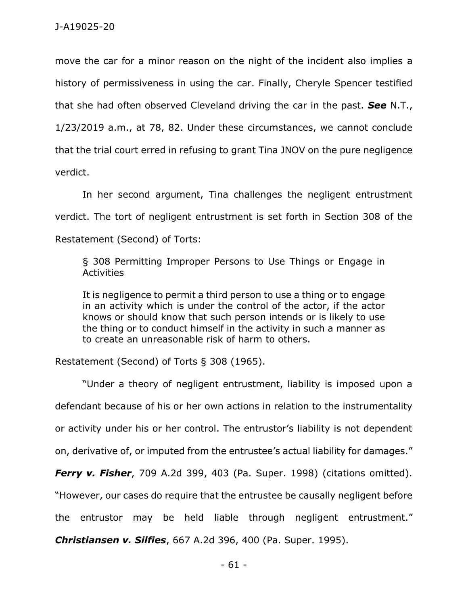move the car for a minor reason on the night of the incident also implies a history of permissiveness in using the car. Finally, Cheryle Spencer testified that she had often observed Cleveland driving the car in the past. *See* N.T., 1/23/2019 a.m., at 78, 82. Under these circumstances, we cannot conclude that the trial court erred in refusing to grant Tina JNOV on the pure negligence verdict.

In her second argument, Tina challenges the negligent entrustment verdict. The tort of negligent entrustment is set forth in Section 308 of the Restatement (Second) of Torts:

§ 308 Permitting Improper Persons to Use Things or Engage in Activities

It is negligence to permit a third person to use a thing or to engage in an activity which is under the control of the actor, if the actor knows or should know that such person intends or is likely to use the thing or to conduct himself in the activity in such a manner as to create an unreasonable risk of harm to others.

Restatement (Second) of Torts § 308 (1965).

"Under a theory of negligent entrustment, liability is imposed upon a defendant because of his or her own actions in relation to the instrumentality or activity under his or her control. The entrustor's liability is not dependent on, derivative of, or imputed from the entrustee's actual liability for damages." *Ferry v. Fisher*, 709 A.2d 399, 403 (Pa. Super. 1998) (citations omitted). "However, our cases do require that the entrustee be causally negligent before the entrustor may be held liable through negligent entrustment."

*Christiansen v. Silfies*, 667 A.2d 396, 400 (Pa. Super. 1995).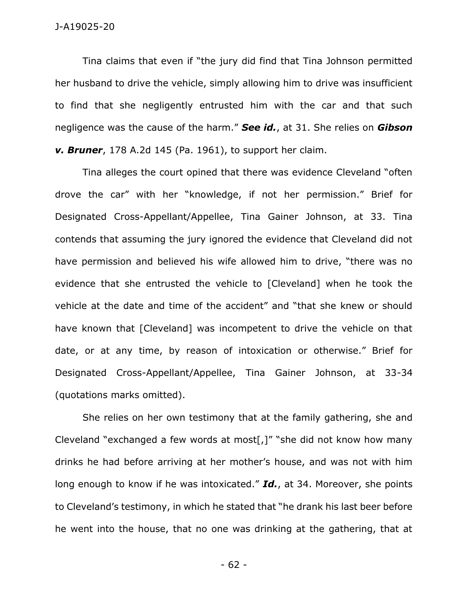Tina claims that even if "the jury did find that Tina Johnson permitted her husband to drive the vehicle, simply allowing him to drive was insufficient to find that she negligently entrusted him with the car and that such negligence was the cause of the harm." *See id.*, at 31. She relies on *Gibson v. Bruner*, 178 A.2d 145 (Pa. 1961), to support her claim.

Tina alleges the court opined that there was evidence Cleveland "often drove the car" with her "knowledge, if not her permission." Brief for Designated Cross-Appellant/Appellee, Tina Gainer Johnson, at 33. Tina contends that assuming the jury ignored the evidence that Cleveland did not have permission and believed his wife allowed him to drive, "there was no evidence that she entrusted the vehicle to [Cleveland] when he took the vehicle at the date and time of the accident" and "that she knew or should have known that [Cleveland] was incompetent to drive the vehicle on that date, or at any time, by reason of intoxication or otherwise." Brief for Designated Cross-Appellant/Appellee, Tina Gainer Johnson, at 33-34 (quotations marks omitted).

She relies on her own testimony that at the family gathering, she and Cleveland "exchanged a few words at most[,]" "she did not know how many drinks he had before arriving at her mother's house, and was not with him long enough to know if he was intoxicated." *Id.*, at 34. Moreover, she points to Cleveland's testimony, in which he stated that "he drank his last beer before he went into the house, that no one was drinking at the gathering, that at

- 62 -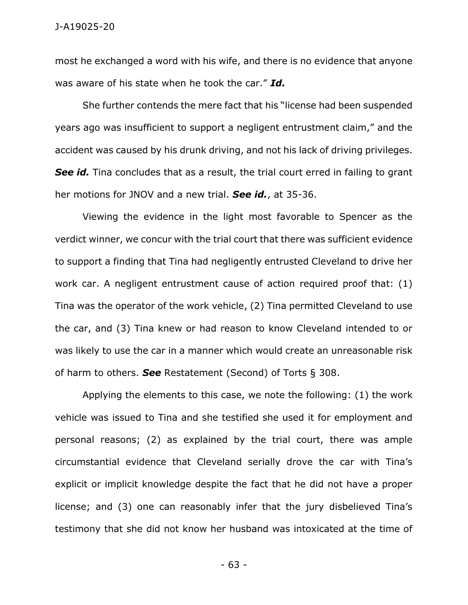most he exchanged a word with his wife, and there is no evidence that anyone was aware of his state when he took the car." *Id.*

She further contends the mere fact that his "license had been suspended years ago was insufficient to support a negligent entrustment claim," and the accident was caused by his drunk driving, and not his lack of driving privileges. **See id.** Tina concludes that as a result, the trial court erred in failing to grant her motions for JNOV and a new trial. *See id.*, at 35-36.

Viewing the evidence in the light most favorable to Spencer as the verdict winner, we concur with the trial court that there was sufficient evidence to support a finding that Tina had negligently entrusted Cleveland to drive her work car. A negligent entrustment cause of action required proof that: (1) Tina was the operator of the work vehicle, (2) Tina permitted Cleveland to use the car, and (3) Tina knew or had reason to know Cleveland intended to or was likely to use the car in a manner which would create an unreasonable risk of harm to others. *See* Restatement (Second) of Torts § 308.

Applying the elements to this case, we note the following: (1) the work vehicle was issued to Tina and she testified she used it for employment and personal reasons; (2) as explained by the trial court, there was ample circumstantial evidence that Cleveland serially drove the car with Tina's explicit or implicit knowledge despite the fact that he did not have a proper license; and (3) one can reasonably infer that the jury disbelieved Tina's testimony that she did not know her husband was intoxicated at the time of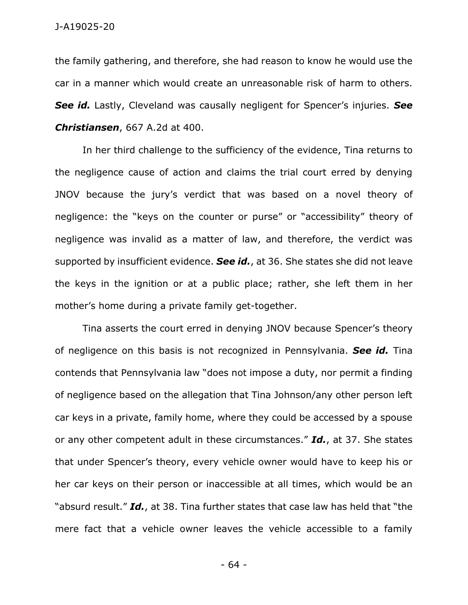the family gathering, and therefore, she had reason to know he would use the car in a manner which would create an unreasonable risk of harm to others. *See id.* Lastly, Cleveland was causally negligent for Spencer's injuries. *See Christiansen*, 667 A.2d at 400.

In her third challenge to the sufficiency of the evidence, Tina returns to the negligence cause of action and claims the trial court erred by denying JNOV because the jury's verdict that was based on a novel theory of negligence: the "keys on the counter or purse" or "accessibility" theory of negligence was invalid as a matter of law, and therefore, the verdict was supported by insufficient evidence. *See id.*, at 36. She states she did not leave the keys in the ignition or at a public place; rather, she left them in her mother's home during a private family get-together.

Tina asserts the court erred in denying JNOV because Spencer's theory of negligence on this basis is not recognized in Pennsylvania. *See id.* Tina contends that Pennsylvania law "does not impose a duty, nor permit a finding of negligence based on the allegation that Tina Johnson/any other person left car keys in a private, family home, where they could be accessed by a spouse or any other competent adult in these circumstances." *Id.*, at 37. She states that under Spencer's theory, every vehicle owner would have to keep his or her car keys on their person or inaccessible at all times, which would be an "absurd result." *Id.*, at 38. Tina further states that case law has held that "the mere fact that a vehicle owner leaves the vehicle accessible to a family

- 64 -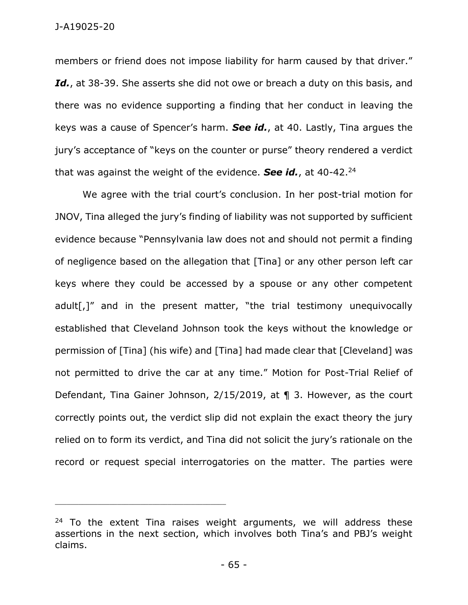members or friend does not impose liability for harm caused by that driver." Id., at 38-39. She asserts she did not owe or breach a duty on this basis, and there was no evidence supporting a finding that her conduct in leaving the keys was a cause of Spencer's harm. *See id.*, at 40. Lastly, Tina argues the jury's acceptance of "keys on the counter or purse" theory rendered a verdict that was against the weight of the evidence. *See id.*, at 40-42.<sup>24</sup>

We agree with the trial court's conclusion. In her post-trial motion for JNOV, Tina alleged the jury's finding of liability was not supported by sufficient evidence because "Pennsylvania law does not and should not permit a finding of negligence based on the allegation that [Tina] or any other person left car keys where they could be accessed by a spouse or any other competent adult[,]" and in the present matter, "the trial testimony unequivocally established that Cleveland Johnson took the keys without the knowledge or permission of [Tina] (his wife) and [Tina] had made clear that [Cleveland] was not permitted to drive the car at any time." Motion for Post-Trial Relief of Defendant, Tina Gainer Johnson, 2/15/2019, at ¶ 3. However, as the court correctly points out, the verdict slip did not explain the exact theory the jury relied on to form its verdict, and Tina did not solicit the jury's rationale on the record or request special interrogatories on the matter. The parties were

\_\_\_\_\_\_\_\_\_\_\_\_\_\_\_\_\_\_\_\_\_\_\_\_\_\_\_\_\_\_\_\_\_\_\_\_\_\_\_\_\_\_\_\_

 $24$  To the extent Tina raises weight arguments, we will address these assertions in the next section, which involves both Tina's and PBJ's weight claims.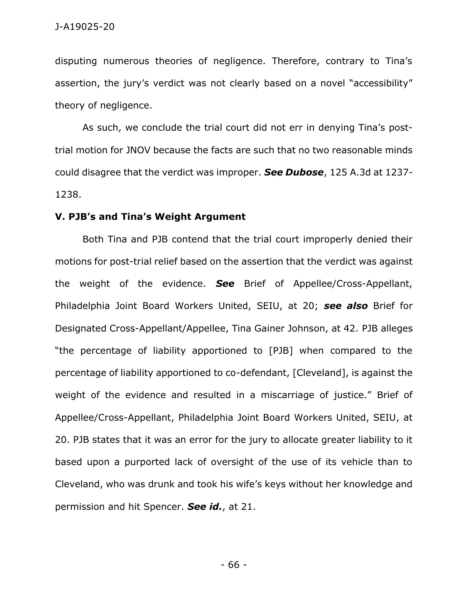disputing numerous theories of negligence. Therefore, contrary to Tina's assertion, the jury's verdict was not clearly based on a novel "accessibility" theory of negligence.

As such, we conclude the trial court did not err in denying Tina's posttrial motion for JNOV because the facts are such that no two reasonable minds could disagree that the verdict was improper. *See Dubose*, 125 A.3d at 1237- 1238.

#### **V. PJB's and Tina's Weight Argument**

Both Tina and PJB contend that the trial court improperly denied their motions for post-trial relief based on the assertion that the verdict was against the weight of the evidence. *See* Brief of Appellee/Cross-Appellant, Philadelphia Joint Board Workers United, SEIU, at 20; *see also* Brief for Designated Cross-Appellant/Appellee, Tina Gainer Johnson, at 42. PJB alleges "the percentage of liability apportioned to [PJB] when compared to the percentage of liability apportioned to co-defendant, [Cleveland], is against the weight of the evidence and resulted in a miscarriage of justice." Brief of Appellee/Cross-Appellant, Philadelphia Joint Board Workers United, SEIU, at 20. PJB states that it was an error for the jury to allocate greater liability to it based upon a purported lack of oversight of the use of its vehicle than to Cleveland, who was drunk and took his wife's keys without her knowledge and permission and hit Spencer. *See id.*, at 21.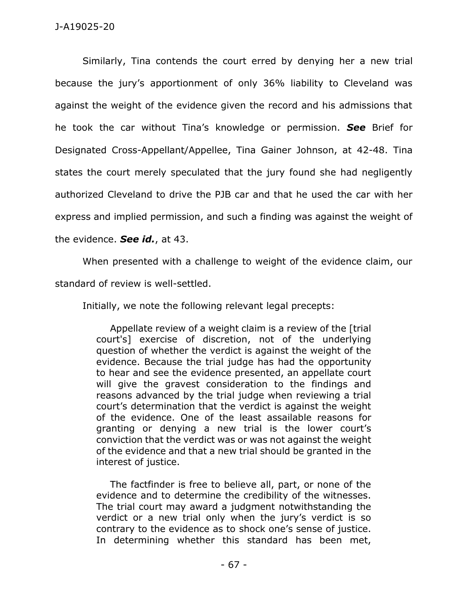Similarly, Tina contends the court erred by denying her a new trial because the jury's apportionment of only 36% liability to Cleveland was against the weight of the evidence given the record and his admissions that he took the car without Tina's knowledge or permission. *See* Brief for Designated Cross-Appellant/Appellee, Tina Gainer Johnson, at 42-48. Tina states the court merely speculated that the jury found she had negligently authorized Cleveland to drive the PJB car and that he used the car with her express and implied permission, and such a finding was against the weight of the evidence. *See id.*, at 43.

When presented with a challenge to weight of the evidence claim, our

standard of review is well-settled.

Initially, we note the following relevant legal precepts:

Appellate review of a weight claim is a review of the [trial court's] exercise of discretion, not of the underlying question of whether the verdict is against the weight of the evidence. Because the trial judge has had the opportunity to hear and see the evidence presented, an appellate court will give the gravest consideration to the findings and reasons advanced by the trial judge when reviewing a trial court's determination that the verdict is against the weight of the evidence. One of the least assailable reasons for granting or denying a new trial is the lower court's conviction that the verdict was or was not against the weight of the evidence and that a new trial should be granted in the interest of justice.

The factfinder is free to believe all, part, or none of the evidence and to determine the credibility of the witnesses. The trial court may award a judgment notwithstanding the verdict or a new trial only when the jury's verdict is so contrary to the evidence as to shock one's sense of justice. In determining whether this standard has been met,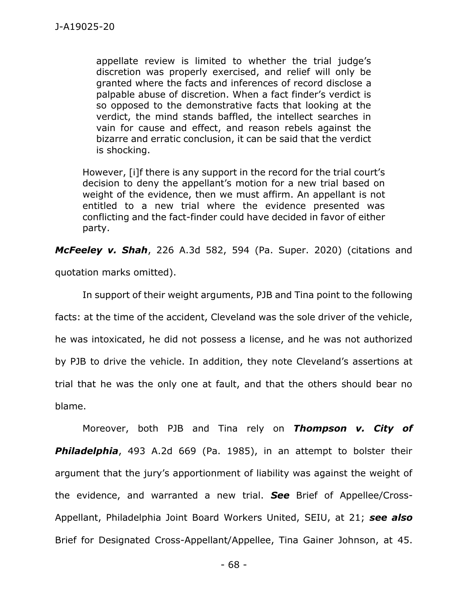appellate review is limited to whether the trial judge's discretion was properly exercised, and relief will only be granted where the facts and inferences of record disclose a palpable abuse of discretion. When a fact finder's verdict is so opposed to the demonstrative facts that looking at the verdict, the mind stands baffled, the intellect searches in vain for cause and effect, and reason rebels against the bizarre and erratic conclusion, it can be said that the verdict is shocking.

However, [i]f there is any support in the record for the trial court's decision to deny the appellant's motion for a new trial based on weight of the evidence, then we must affirm. An appellant is not entitled to a new trial where the evidence presented was conflicting and the fact-finder could have decided in favor of either party.

*McFeeley v. Shah*, 226 A.3d 582, 594 (Pa. Super. 2020) (citations and

quotation marks omitted).

In support of their weight arguments, PJB and Tina point to the following facts: at the time of the accident, Cleveland was the sole driver of the vehicle, he was intoxicated, he did not possess a license, and he was not authorized by PJB to drive the vehicle. In addition, they note Cleveland's assertions at trial that he was the only one at fault, and that the others should bear no blame.

Moreover, both PJB and Tina rely on *Thompson v. City of Philadelphia*, 493 A.2d 669 (Pa. 1985), in an attempt to bolster their argument that the jury's apportionment of liability was against the weight of the evidence, and warranted a new trial. *See* Brief of Appellee/Cross-Appellant, Philadelphia Joint Board Workers United, SEIU, at 21; *see also* Brief for Designated Cross-Appellant/Appellee, Tina Gainer Johnson, at 45.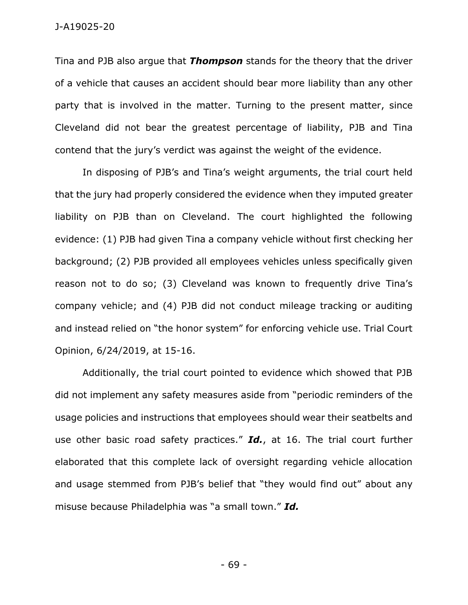Tina and PJB also argue that *Thompson* stands for the theory that the driver of a vehicle that causes an accident should bear more liability than any other party that is involved in the matter. Turning to the present matter, since Cleveland did not bear the greatest percentage of liability, PJB and Tina contend that the jury's verdict was against the weight of the evidence.

In disposing of PJB's and Tina's weight arguments, the trial court held that the jury had properly considered the evidence when they imputed greater liability on PJB than on Cleveland. The court highlighted the following evidence: (1) PJB had given Tina a company vehicle without first checking her background; (2) PJB provided all employees vehicles unless specifically given reason not to do so; (3) Cleveland was known to frequently drive Tina's company vehicle; and (4) PJB did not conduct mileage tracking or auditing and instead relied on "the honor system" for enforcing vehicle use. Trial Court Opinion, 6/24/2019, at 15-16.

Additionally, the trial court pointed to evidence which showed that PJB did not implement any safety measures aside from "periodic reminders of the usage policies and instructions that employees should wear their seatbelts and use other basic road safety practices." *Id.*, at 16. The trial court further elaborated that this complete lack of oversight regarding vehicle allocation and usage stemmed from PJB's belief that "they would find out" about any misuse because Philadelphia was "a small town." *Id.*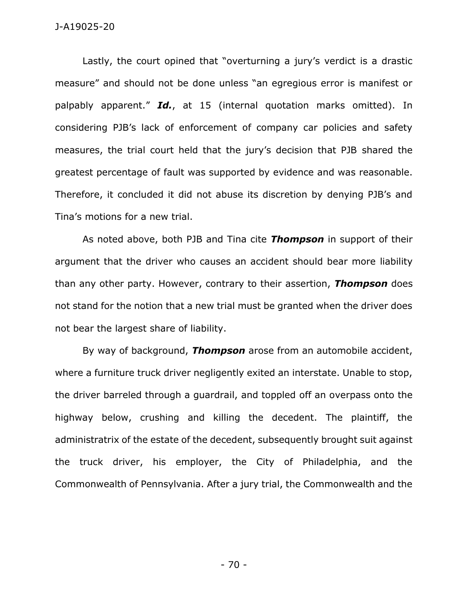#### J-A19025-20

Lastly, the court opined that "overturning a jury's verdict is a drastic measure" and should not be done unless "an egregious error is manifest or palpably apparent." *Id.*, at 15 (internal quotation marks omitted). In considering PJB's lack of enforcement of company car policies and safety measures, the trial court held that the jury's decision that PJB shared the greatest percentage of fault was supported by evidence and was reasonable. Therefore, it concluded it did not abuse its discretion by denying PJB's and Tina's motions for a new trial.

As noted above, both PJB and Tina cite *Thompson* in support of their argument that the driver who causes an accident should bear more liability than any other party. However, contrary to their assertion, *Thompson* does not stand for the notion that a new trial must be granted when the driver does not bear the largest share of liability.

By way of background, *Thompson* arose from an automobile accident, where a furniture truck driver negligently exited an interstate. Unable to stop, the driver barreled through a guardrail, and toppled off an overpass onto the highway below, crushing and killing the decedent. The plaintiff, the administratrix of the estate of the decedent, subsequently brought suit against the truck driver, his employer, the City of Philadelphia, and the Commonwealth of Pennsylvania. After a jury trial, the Commonwealth and the

- 70 -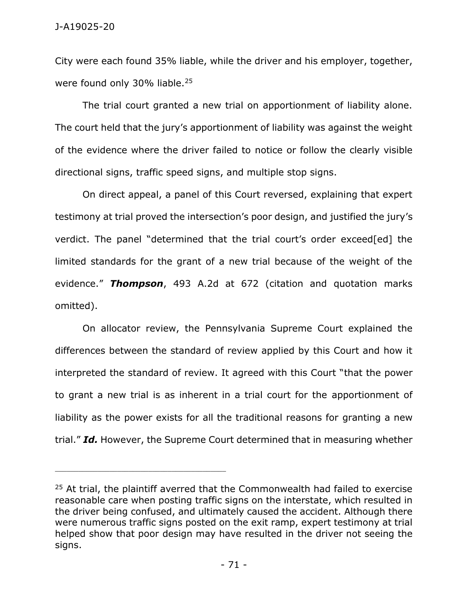City were each found 35% liable, while the driver and his employer, together, were found only 30% liable.<sup>25</sup>

The trial court granted a new trial on apportionment of liability alone. The court held that the jury's apportionment of liability was against the weight of the evidence where the driver failed to notice or follow the clearly visible directional signs, traffic speed signs, and multiple stop signs.

On direct appeal, a panel of this Court reversed, explaining that expert testimony at trial proved the intersection's poor design, and justified the jury's verdict. The panel "determined that the trial court's order exceed[ed] the limited standards for the grant of a new trial because of the weight of the evidence." *Thompson*, 493 A.2d at 672 (citation and quotation marks omitted).

On allocator review, the Pennsylvania Supreme Court explained the differences between the standard of review applied by this Court and how it interpreted the standard of review. It agreed with this Court "that the power to grant a new trial is as inherent in a trial court for the apportionment of liability as the power exists for all the traditional reasons for granting a new trial." *Id.* However, the Supreme Court determined that in measuring whether

 $25$  At trial, the plaintiff averred that the Commonwealth had failed to exercise reasonable care when posting traffic signs on the interstate, which resulted in the driver being confused, and ultimately caused the accident. Although there were numerous traffic signs posted on the exit ramp, expert testimony at trial helped show that poor design may have resulted in the driver not seeing the signs.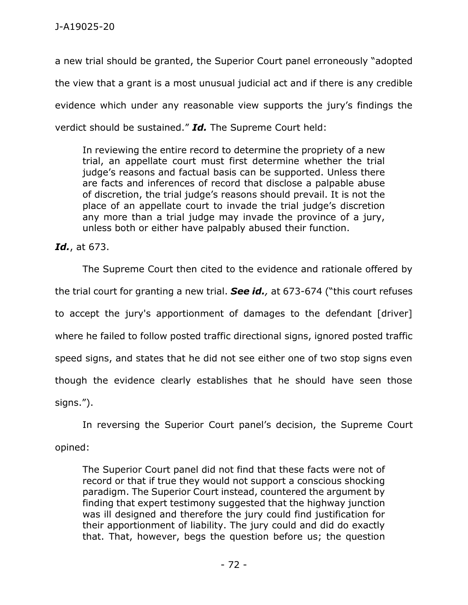a new trial should be granted, the Superior Court panel erroneously "adopted the view that a grant is a most unusual judicial act and if there is any credible evidence which under any reasonable view supports the jury's findings the verdict should be sustained." *Id.* The Supreme Court held:

In reviewing the entire record to determine the propriety of a new trial, an appellate court must first determine whether the trial judge's reasons and factual basis can be supported. Unless there are facts and inferences of record that disclose a palpable abuse of discretion, the trial judge's reasons should prevail. It is not the place of an appellate court to invade the trial judge's discretion any more than a trial judge may invade the province of a jury, unless both or either have palpably abused their function.

*Id.*, at 673.

The Supreme Court then cited to the evidence and rationale offered by the trial court for granting a new trial. *See id.,* at 673-674 ("this court refuses to accept the jury's apportionment of damages to the defendant [driver] where he failed to follow posted traffic directional signs, ignored posted traffic speed signs, and states that he did not see either one of two stop signs even though the evidence clearly establishes that he should have seen those signs.").

In reversing the Superior Court panel's decision, the Supreme Court opined:

The Superior Court panel did not find that these facts were not of record or that if true they would not support a conscious shocking paradigm. The Superior Court instead, countered the argument by finding that expert testimony suggested that the highway junction was ill designed and therefore the jury could find justification for their apportionment of liability. The jury could and did do exactly that. That, however, begs the question before us; the question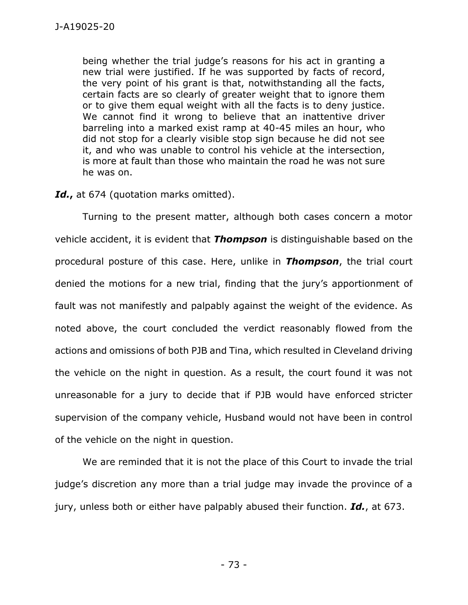being whether the trial judge's reasons for his act in granting a new trial were justified. If he was supported by facts of record, the very point of his grant is that, notwithstanding all the facts, certain facts are so clearly of greater weight that to ignore them or to give them equal weight with all the facts is to deny justice. We cannot find it wrong to believe that an inattentive driver barreling into a marked exist ramp at 40-45 miles an hour, who did not stop for a clearly visible stop sign because he did not see it, and who was unable to control his vehicle at the intersection, is more at fault than those who maintain the road he was not sure he was on.

## *Id.***,** at 674 (quotation marks omitted).

Turning to the present matter, although both cases concern a motor vehicle accident, it is evident that *Thompson* is distinguishable based on the procedural posture of this case. Here, unlike in *Thompson*, the trial court denied the motions for a new trial, finding that the jury's apportionment of fault was not manifestly and palpably against the weight of the evidence. As noted above, the court concluded the verdict reasonably flowed from the actions and omissions of both PJB and Tina, which resulted in Cleveland driving the vehicle on the night in question. As a result, the court found it was not unreasonable for a jury to decide that if PJB would have enforced stricter supervision of the company vehicle, Husband would not have been in control of the vehicle on the night in question.

We are reminded that it is not the place of this Court to invade the trial judge's discretion any more than a trial judge may invade the province of a jury, unless both or either have palpably abused their function. *Id.*, at 673.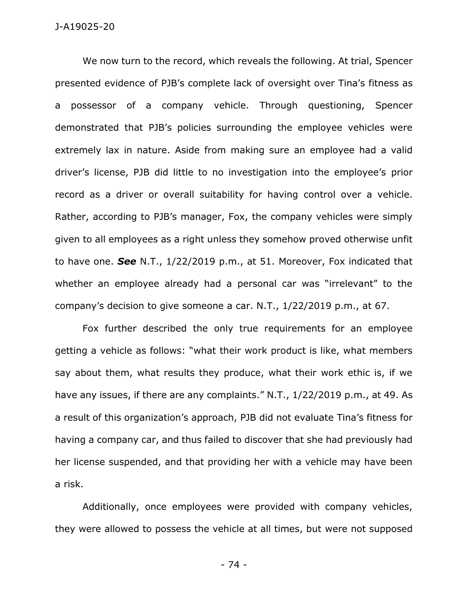We now turn to the record, which reveals the following. At trial, Spencer presented evidence of PJB's complete lack of oversight over Tina's fitness as a possessor of a company vehicle. Through questioning, Spencer demonstrated that PJB's policies surrounding the employee vehicles were extremely lax in nature. Aside from making sure an employee had a valid driver's license, PJB did little to no investigation into the employee's prior record as a driver or overall suitability for having control over a vehicle. Rather, according to PJB's manager, Fox, the company vehicles were simply given to all employees as a right unless they somehow proved otherwise unfit to have one. *See* N.T., 1/22/2019 p.m., at 51. Moreover, Fox indicated that whether an employee already had a personal car was "irrelevant" to the company's decision to give someone a car. N.T., 1/22/2019 p.m., at 67.

Fox further described the only true requirements for an employee getting a vehicle as follows: "what their work product is like, what members say about them, what results they produce, what their work ethic is, if we have any issues, if there are any complaints." N.T., 1/22/2019 p.m., at 49. As a result of this organization's approach, PJB did not evaluate Tina's fitness for having a company car, and thus failed to discover that she had previously had her license suspended, and that providing her with a vehicle may have been a risk.

Additionally, once employees were provided with company vehicles, they were allowed to possess the vehicle at all times, but were not supposed

- 74 -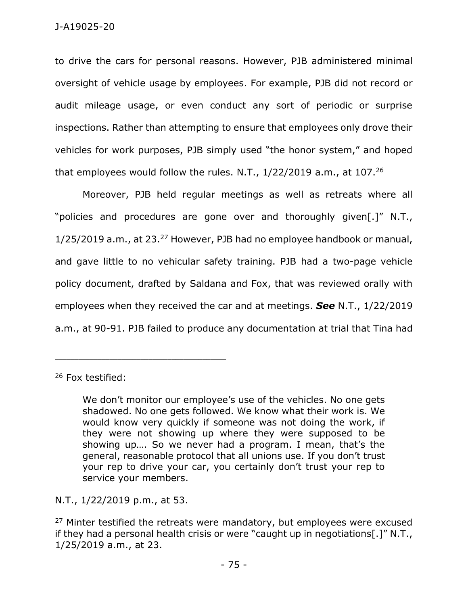to drive the cars for personal reasons. However, PJB administered minimal oversight of vehicle usage by employees. For example, PJB did not record or audit mileage usage, or even conduct any sort of periodic or surprise inspections. Rather than attempting to ensure that employees only drove their vehicles for work purposes, PJB simply used "the honor system," and hoped that employees would follow the rules. N.T.,  $1/22/2019$  a.m., at  $107<sup>26</sup>$ 

Moreover, PJB held regular meetings as well as retreats where all "policies and procedures are gone over and thoroughly given[.]" N.T., 1/25/2019 a.m., at 23.<sup>27</sup> However, PJB had no employee handbook or manual, and gave little to no vehicular safety training. PJB had a two-page vehicle policy document, drafted by Saldana and Fox, that was reviewed orally with employees when they received the car and at meetings. *See* N.T., 1/22/2019 a.m., at 90-91. PJB failed to produce any documentation at trial that Tina had

<sup>26</sup> Fox testified:

We don't monitor our employee's use of the vehicles. No one gets shadowed. No one gets followed. We know what their work is. We would know very quickly if someone was not doing the work, if they were not showing up where they were supposed to be showing up…. So we never had a program. I mean, that's the general, reasonable protocol that all unions use. If you don't trust your rep to drive your car, you certainly don't trust your rep to service your members.

N.T., 1/22/2019 p.m., at 53.

\_\_\_\_\_\_\_\_\_\_\_\_\_\_\_\_\_\_\_\_\_\_\_\_\_\_\_\_\_\_\_\_\_\_\_\_\_\_\_\_\_\_\_\_

 $27$  Minter testified the retreats were mandatory, but employees were excused if they had a personal health crisis or were "caught up in negotiations[.]" N.T., 1/25/2019 a.m., at 23.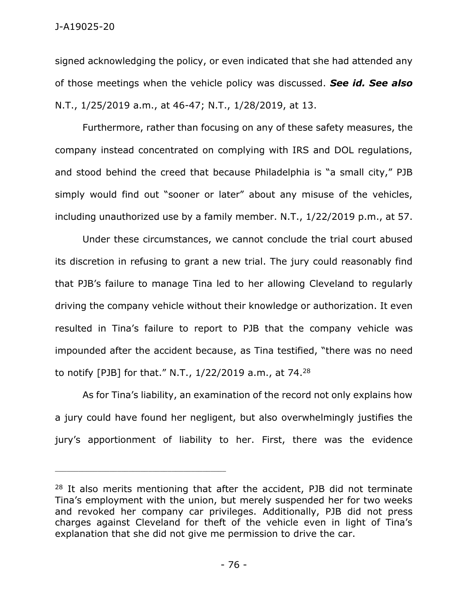## J-A19025-20

signed acknowledging the policy, or even indicated that she had attended any of those meetings when the vehicle policy was discussed. *See id. See also* N.T., 1/25/2019 a.m., at 46-47; N.T., 1/28/2019, at 13.

Furthermore, rather than focusing on any of these safety measures, the company instead concentrated on complying with IRS and DOL regulations, and stood behind the creed that because Philadelphia is "a small city," PJB simply would find out "sooner or later" about any misuse of the vehicles, including unauthorized use by a family member. N.T., 1/22/2019 p.m., at 57.

Under these circumstances, we cannot conclude the trial court abused its discretion in refusing to grant a new trial. The jury could reasonably find that PJB's failure to manage Tina led to her allowing Cleveland to regularly driving the company vehicle without their knowledge or authorization. It even resulted in Tina's failure to report to PJB that the company vehicle was impounded after the accident because, as Tina testified, "there was no need to notify [PJB] for that." N.T., 1/22/2019 a.m., at 74.<sup>28</sup>

As for Tina's liability, an examination of the record not only explains how a jury could have found her negligent, but also overwhelmingly justifies the jury's apportionment of liability to her. First, there was the evidence

 $28$  It also merits mentioning that after the accident, PJB did not terminate Tina's employment with the union, but merely suspended her for two weeks and revoked her company car privileges. Additionally, PJB did not press charges against Cleveland for theft of the vehicle even in light of Tina's explanation that she did not give me permission to drive the car.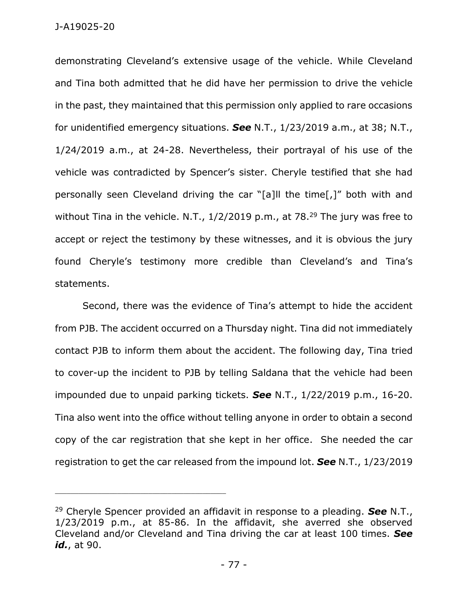demonstrating Cleveland's extensive usage of the vehicle. While Cleveland and Tina both admitted that he did have her permission to drive the vehicle in the past, they maintained that this permission only applied to rare occasions for unidentified emergency situations. *See* N.T., 1/23/2019 a.m., at 38; N.T., 1/24/2019 a.m., at 24-28. Nevertheless, their portrayal of his use of the vehicle was contradicted by Spencer's sister. Cheryle testified that she had personally seen Cleveland driving the car "[a]ll the time[,]" both with and without Tina in the vehicle. N.T., 1/2/2019 p.m., at 78.<sup>29</sup> The jury was free to accept or reject the testimony by these witnesses, and it is obvious the jury found Cheryle's testimony more credible than Cleveland's and Tina's statements.

Second, there was the evidence of Tina's attempt to hide the accident from PJB. The accident occurred on a Thursday night. Tina did not immediately contact PJB to inform them about the accident. The following day, Tina tried to cover-up the incident to PJB by telling Saldana that the vehicle had been impounded due to unpaid parking tickets. *See* N.T., 1/22/2019 p.m., 16-20. Tina also went into the office without telling anyone in order to obtain a second copy of the car registration that she kept in her office. She needed the car registration to get the car released from the impound lot. *See* N.T., 1/23/2019

\_\_\_\_\_\_\_\_\_\_\_\_\_\_\_\_\_\_\_\_\_\_\_\_\_\_\_\_\_\_\_\_\_\_\_\_\_\_\_\_\_\_\_\_

<sup>29</sup> Cheryle Spencer provided an affidavit in response to a pleading. *See* N.T., 1/23/2019 p.m., at 85-86. In the affidavit, she averred she observed Cleveland and/or Cleveland and Tina driving the car at least 100 times. *See id.*, at 90.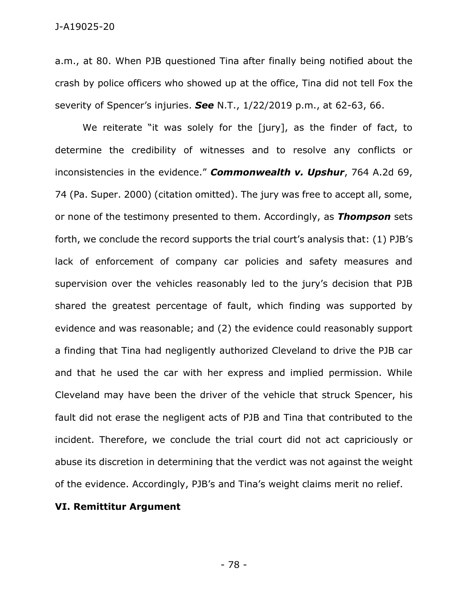a.m., at 80. When PJB questioned Tina after finally being notified about the crash by police officers who showed up at the office, Tina did not tell Fox the severity of Spencer's injuries. *See* N.T., 1/22/2019 p.m., at 62-63, 66.

We reiterate "it was solely for the [jury], as the finder of fact, to determine the credibility of witnesses and to resolve any conflicts or inconsistencies in the evidence." *Commonwealth v. Upshur*, 764 A.2d 69, 74 (Pa. Super. 2000) (citation omitted). The jury was free to accept all, some, or none of the testimony presented to them. Accordingly, as *Thompson* sets forth, we conclude the record supports the trial court's analysis that: (1) PJB's lack of enforcement of company car policies and safety measures and supervision over the vehicles reasonably led to the jury's decision that PJB shared the greatest percentage of fault, which finding was supported by evidence and was reasonable; and (2) the evidence could reasonably support a finding that Tina had negligently authorized Cleveland to drive the PJB car and that he used the car with her express and implied permission. While Cleveland may have been the driver of the vehicle that struck Spencer, his fault did not erase the negligent acts of PJB and Tina that contributed to the incident. Therefore, we conclude the trial court did not act capriciously or abuse its discretion in determining that the verdict was not against the weight of the evidence. Accordingly, PJB's and Tina's weight claims merit no relief.

## **VI. Remittitur Argument**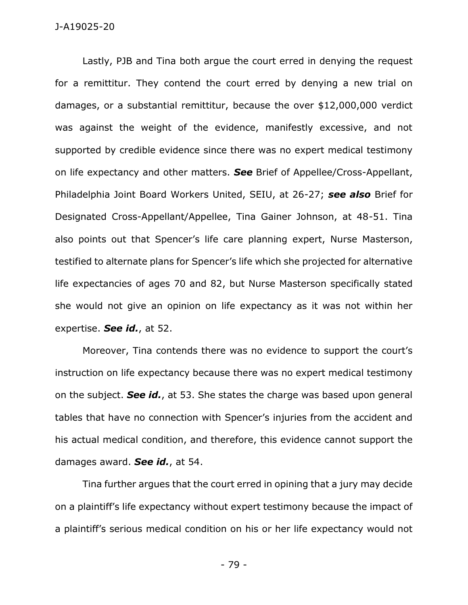Lastly, PJB and Tina both argue the court erred in denying the request for a remittitur. They contend the court erred by denying a new trial on damages, or a substantial remittitur, because the over \$12,000,000 verdict was against the weight of the evidence, manifestly excessive, and not supported by credible evidence since there was no expert medical testimony on life expectancy and other matters. *See* Brief of Appellee/Cross-Appellant, Philadelphia Joint Board Workers United, SEIU, at 26-27; *see also* Brief for Designated Cross-Appellant/Appellee, Tina Gainer Johnson, at 48-51. Tina also points out that Spencer's life care planning expert, Nurse Masterson, testified to alternate plans for Spencer's life which she projected for alternative life expectancies of ages 70 and 82, but Nurse Masterson specifically stated she would not give an opinion on life expectancy as it was not within her expertise. *See id.*, at 52.

Moreover, Tina contends there was no evidence to support the court's instruction on life expectancy because there was no expert medical testimony on the subject. *See id.*, at 53. She states the charge was based upon general tables that have no connection with Spencer's injuries from the accident and his actual medical condition, and therefore, this evidence cannot support the damages award. *See id.*, at 54.

Tina further argues that the court erred in opining that a jury may decide on a plaintiff's life expectancy without expert testimony because the impact of a plaintiff's serious medical condition on his or her life expectancy would not

- 79 -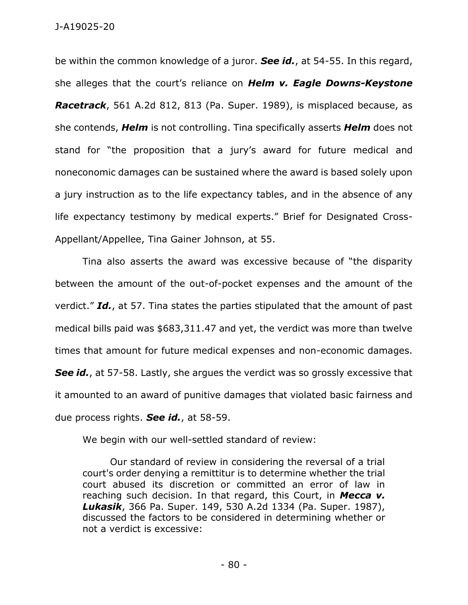be within the common knowledge of a juror. *See id.*, at 54-55. In this regard, she alleges that the court's reliance on *Helm v. Eagle Downs-Keystone Racetrack*, 561 A.2d 812, 813 (Pa. Super. 1989), is misplaced because, as she contends, *Helm* is not controlling. Tina specifically asserts *Helm* does not stand for "the proposition that a jury's award for future medical and noneconomic damages can be sustained where the award is based solely upon a jury instruction as to the life expectancy tables, and in the absence of any life expectancy testimony by medical experts." Brief for Designated Cross-Appellant/Appellee, Tina Gainer Johnson, at 55.

Tina also asserts the award was excessive because of "the disparity between the amount of the out-of-pocket expenses and the amount of the verdict." *Id.*, at 57. Tina states the parties stipulated that the amount of past medical bills paid was \$683,311.47 and yet, the verdict was more than twelve times that amount for future medical expenses and non-economic damages. **See id.**, at 57-58. Lastly, she argues the verdict was so grossly excessive that it amounted to an award of punitive damages that violated basic fairness and due process rights. *See id.*, at 58-59.

We begin with our well-settled standard of review:

Our standard of review in considering the reversal of a trial court's order denying a remittitur is to determine whether the trial court abused its discretion or committed an error of law in reaching such decision. In that regard, this Court, in *Mecca v. Lukasik*, 366 Pa. Super. 149, 530 A.2d 1334 (Pa. Super. 1987), discussed the factors to be considered in determining whether or not a verdict is excessive: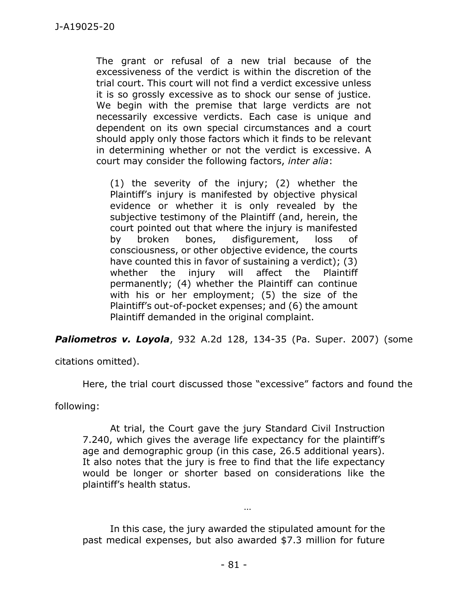The grant or refusal of a new trial because of the excessiveness of the verdict is within the discretion of the trial court. This court will not find a verdict excessive unless it is so grossly excessive as to shock our sense of justice. We begin with the premise that large verdicts are not necessarily excessive verdicts. Each case is unique and dependent on its own special circumstances and a court should apply only those factors which it finds to be relevant in determining whether or not the verdict is excessive. A court may consider the following factors, *inter alia*:

(1) the severity of the injury; (2) whether the Plaintiff's injury is manifested by objective physical evidence or whether it is only revealed by the subjective testimony of the Plaintiff (and, herein, the court pointed out that where the injury is manifested by broken bones, disfigurement, loss of consciousness, or other objective evidence, the courts have counted this in favor of sustaining a verdict); (3) whether the injury will affect the Plaintiff permanently; (4) whether the Plaintiff can continue with his or her employment; (5) the size of the Plaintiff's out-of-pocket expenses; and (6) the amount Plaintiff demanded in the original complaint.

*Paliometros v. Loyola*, 932 A.2d 128, 134-35 (Pa. Super. 2007) (some

citations omitted).

Here, the trial court discussed those "excessive" factors and found the

following:

At trial, the Court gave the jury Standard Civil Instruction 7.240, which gives the average life expectancy for the plaintiff's age and demographic group (in this case, 26.5 additional years). It also notes that the jury is free to find that the life expectancy would be longer or shorter based on considerations like the plaintiff's health status.

In this case, the jury awarded the stipulated amount for the past medical expenses, but also awarded \$7.3 million for future

…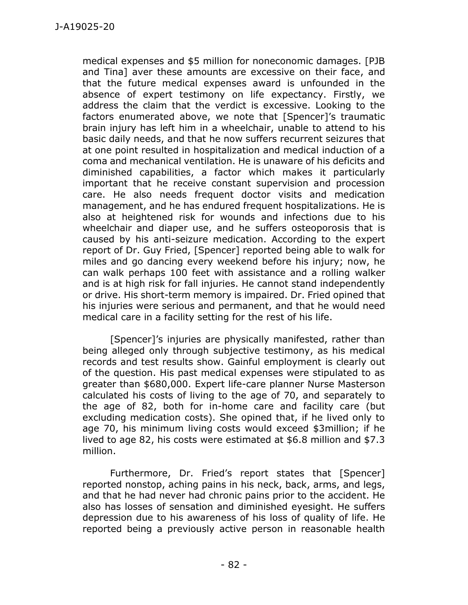medical expenses and \$5 million for noneconomic damages. [PJB and Tina] aver these amounts are excessive on their face, and that the future medical expenses award is unfounded in the absence of expert testimony on life expectancy. Firstly, we address the claim that the verdict is excessive. Looking to the factors enumerated above, we note that [Spencer]'s traumatic brain injury has left him in a wheelchair, unable to attend to his basic daily needs, and that he now suffers recurrent seizures that at one point resulted in hospitalization and medical induction of a coma and mechanical ventilation. He is unaware of his deficits and diminished capabilities, a factor which makes it particularly important that he receive constant supervision and procession care. He also needs frequent doctor visits and medication management, and he has endured frequent hospitalizations. He is also at heightened risk for wounds and infections due to his wheelchair and diaper use, and he suffers osteoporosis that is caused by his anti-seizure medication. According to the expert report of Dr. Guy Fried, [Spencer] reported being able to walk for miles and go dancing every weekend before his injury; now, he can walk perhaps 100 feet with assistance and a rolling walker and is at high risk for fall injuries. He cannot stand independently or drive. His short-term memory is impaired. Dr. Fried opined that his injuries were serious and permanent, and that he would need medical care in a facility setting for the rest of his life.

[Spencer]'s injuries are physically manifested, rather than being alleged only through subjective testimony, as his medical records and test results show. Gainful employment is clearly out of the question. His past medical expenses were stipulated to as greater than \$680,000. Expert life-care planner Nurse Masterson calculated his costs of living to the age of 70, and separately to the age of 82, both for in-home care and facility care (but excluding medication costs). She opined that, if he lived only to age 70, his minimum living costs would exceed \$3million; if he lived to age 82, his costs were estimated at \$6.8 million and \$7.3 million.

Furthermore, Dr. Fried's report states that [Spencer] reported nonstop, aching pains in his neck, back, arms, and legs, and that he had never had chronic pains prior to the accident. He also has losses of sensation and diminished eyesight. He suffers depression due to his awareness of his loss of quality of life. He reported being a previously active person in reasonable health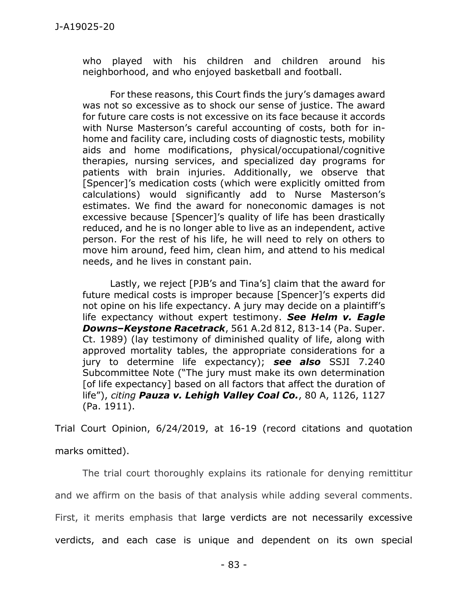who played with his children and children around his neighborhood, and who enjoyed basketball and football.

For these reasons, this Court finds the jury's damages award was not so excessive as to shock our sense of justice. The award for future care costs is not excessive on its face because it accords with Nurse Masterson's careful accounting of costs, both for inhome and facility care, including costs of diagnostic tests, mobility aids and home modifications, physical/occupational/cognitive therapies, nursing services, and specialized day programs for patients with brain injuries. Additionally, we observe that [Spencer]'s medication costs (which were explicitly omitted from calculations) would significantly add to Nurse Masterson's estimates. We find the award for noneconomic damages is not excessive because [Spencer]'s quality of life has been drastically reduced, and he is no longer able to live as an independent, active person. For the rest of his life, he will need to rely on others to move him around, feed him, clean him, and attend to his medical needs, and he lives in constant pain.

Lastly, we reject [PJB's and Tina's] claim that the award for future medical costs is improper because [Spencer]'s experts did not opine on his life expectancy. A jury may decide on a plaintiff's life expectancy without expert testimony. *See Helm v. Eagle Downs–Keystone Racetrack*, 561 A.2d 812, 813-14 (Pa. Super. Ct. 1989) (lay testimony of diminished quality of life, along with approved mortality tables, the appropriate considerations for a jury to determine life expectancy); *see also* SSJI 7.240 Subcommittee Note ("The jury must make its own determination [of life expectancy] based on all factors that affect the duration of life"), *citing Pauza v. Lehigh Valley Coal Co.*, 80 A, 1126, 1127 (Pa. 1911).

Trial Court Opinion, 6/24/2019, at 16-19 (record citations and quotation marks omitted).

The trial court thoroughly explains its rationale for denying remittitur and we affirm on the basis of that analysis while adding several comments. First, it merits emphasis that large verdicts are not necessarily excessive verdicts, and each case is unique and dependent on its own special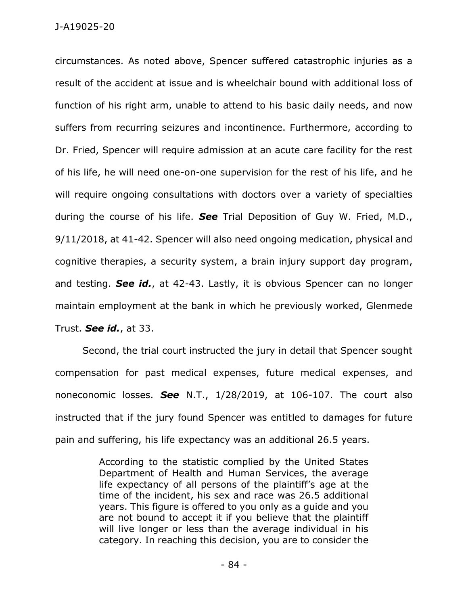circumstances. As noted above, Spencer suffered catastrophic injuries as a result of the accident at issue and is wheelchair bound with additional loss of function of his right arm, unable to attend to his basic daily needs, and now suffers from recurring seizures and incontinence. Furthermore, according to Dr. Fried, Spencer will require admission at an acute care facility for the rest of his life, he will need one-on-one supervision for the rest of his life, and he will require ongoing consultations with doctors over a variety of specialties during the course of his life. *See* Trial Deposition of Guy W. Fried, M.D., 9/11/2018, at 41-42. Spencer will also need ongoing medication, physical and cognitive therapies, a security system, a brain injury support day program, and testing. *See id.*, at 42-43. Lastly, it is obvious Spencer can no longer maintain employment at the bank in which he previously worked, Glenmede Trust. *See id.*, at 33.

Second, the trial court instructed the jury in detail that Spencer sought compensation for past medical expenses, future medical expenses, and noneconomic losses. *See* N.T., 1/28/2019, at 106-107. The court also instructed that if the jury found Spencer was entitled to damages for future pain and suffering, his life expectancy was an additional 26.5 years.

> According to the statistic complied by the United States Department of Health and Human Services, the average life expectancy of all persons of the plaintiff's age at the time of the incident, his sex and race was 26.5 additional years. This figure is offered to you only as a guide and you are not bound to accept it if you believe that the plaintiff will live longer or less than the average individual in his category. In reaching this decision, you are to consider the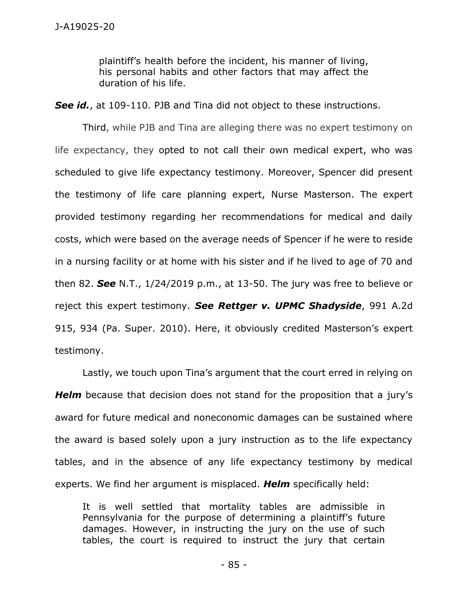plaintiff's health before the incident, his manner of living, his personal habits and other factors that may affect the duration of his life.

**See id.**, at 109-110. PJB and Tina did not object to these instructions.

Third, while PJB and Tina are alleging there was no expert testimony on life expectancy, they opted to not call their own medical expert, who was scheduled to give life expectancy testimony. Moreover, Spencer did present the testimony of life care planning expert, Nurse Masterson. The expert provided testimony regarding her recommendations for medical and daily costs, which were based on the average needs of Spencer if he were to reside in a nursing facility or at home with his sister and if he lived to age of 70 and then 82. *See* N.T., 1/24/2019 p.m., at 13-50. The jury was free to believe or reject this expert testimony. *See Rettger v. UPMC Shadyside*, 991 A.2d 915, 934 (Pa. Super. 2010). Here, it obviously credited Masterson's expert testimony.

Lastly, we touch upon Tina's argument that the court erred in relying on *Helm* because that decision does not stand for the proposition that a jury's award for future medical and noneconomic damages can be sustained where the award is based solely upon a jury instruction as to the life expectancy tables, and in the absence of any life expectancy testimony by medical experts. We find her argument is misplaced. *Helm* specifically held:

It is well settled that mortality tables are admissible in Pennsylvania for the purpose of determining a plaintiff's future damages. However, in instructing the jury on the use of such tables, the court is required to instruct the jury that certain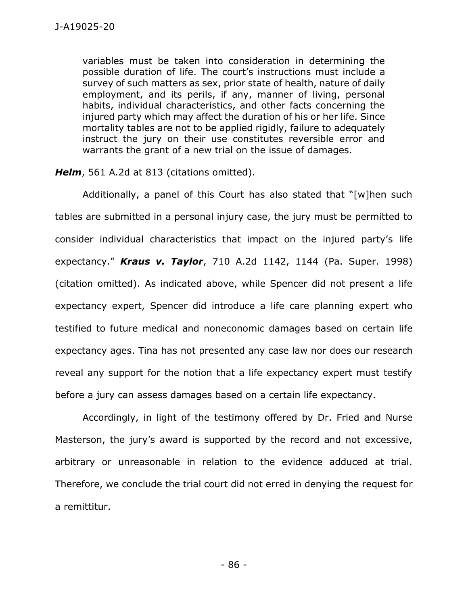variables must be taken into consideration in determining the possible duration of life. The court's instructions must include a survey of such matters as sex, prior state of health, nature of daily employment, and its perils, if any, manner of living, personal habits, individual characteristics, and other facts concerning the injured party which may affect the duration of his or her life. Since mortality tables are not to be applied rigidly, failure to adequately instruct the jury on their use constitutes reversible error and warrants the grant of a new trial on the issue of damages.

*Helm*, 561 A.2d at 813 (citations omitted).

Additionally, a panel of this Court has also stated that "[w]hen such tables are submitted in a personal injury case, the jury must be permitted to consider individual characteristics that impact on the injured party's life expectancy." *Kraus v. Taylor*, 710 A.2d 1142, 1144 (Pa. Super. 1998) (citation omitted). As indicated above, while Spencer did not present a life expectancy expert, Spencer did introduce a life care planning expert who testified to future medical and noneconomic damages based on certain life expectancy ages. Tina has not presented any case law nor does our research reveal any support for the notion that a life expectancy expert must testify before a jury can assess damages based on a certain life expectancy.

Accordingly, in light of the testimony offered by Dr. Fried and Nurse Masterson, the jury's award is supported by the record and not excessive, arbitrary or unreasonable in relation to the evidence adduced at trial. Therefore, we conclude the trial court did not erred in denying the request for a remittitur.